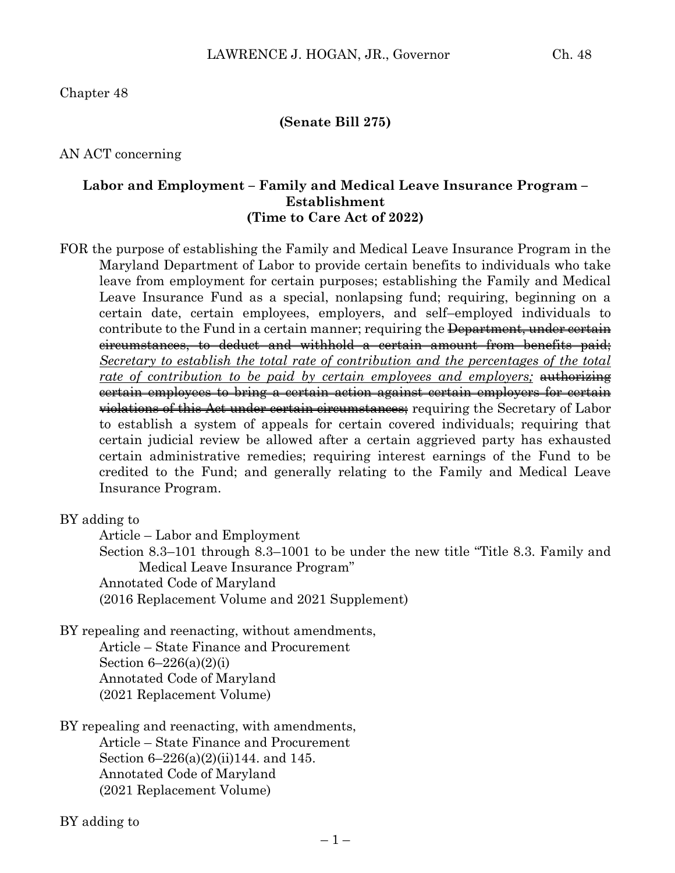#### **(Senate Bill 275)**

AN ACT concerning

## **Labor and Employment – Family and Medical Leave Insurance Program – Establishment (Time to Care Act of 2022)**

FOR the purpose of establishing the Family and Medical Leave Insurance Program in the Maryland Department of Labor to provide certain benefits to individuals who take leave from employment for certain purposes; establishing the Family and Medical Leave Insurance Fund as a special, nonlapsing fund; requiring, beginning on a certain date, certain employees, employers, and self–employed individuals to contribute to the Fund in a certain manner; requiring the <del>Department, under certain</del> circumstances, to deduct and withhold a certain amount from benefits paid; *Secretary to establish the total rate of contribution and the percentages of the total*  rate of contribution to be paid by certain employees and employers; authorizing certain employees to bring a certain action against certain employers for certain violations of this Act under certain circumstances; requiring the Secretary of Labor to establish a system of appeals for certain covered individuals; requiring that certain judicial review be allowed after a certain aggrieved party has exhausted certain administrative remedies; requiring interest earnings of the Fund to be credited to the Fund; and generally relating to the Family and Medical Leave Insurance Program.

BY adding to

Article – Labor and Employment

Section 8.3–101 through 8.3–1001 to be under the new title "Title 8.3. Family and Medical Leave Insurance Program"

Annotated Code of Maryland

(2016 Replacement Volume and 2021 Supplement)

BY repealing and reenacting, without amendments, Article – State Finance and Procurement Section  $6-226(a)(2)(i)$ 

Annotated Code of Maryland (2021 Replacement Volume)

BY repealing and reenacting, with amendments, Article – State Finance and Procurement Section 6–226(a)(2)(ii)144. and 145. Annotated Code of Maryland (2021 Replacement Volume)

BY adding to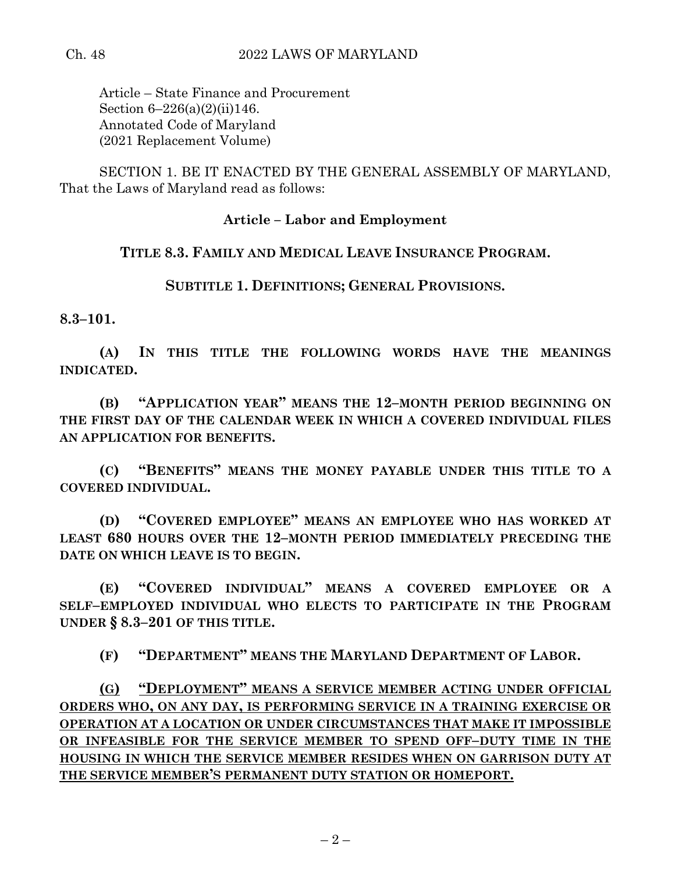Article – State Finance and Procurement Section 6–226(a)(2)(ii)146. Annotated Code of Maryland (2021 Replacement Volume)

SECTION 1. BE IT ENACTED BY THE GENERAL ASSEMBLY OF MARYLAND, That the Laws of Maryland read as follows:

## **Article – Labor and Employment**

## **TITLE 8.3. FAMILY AND MEDICAL LEAVE INSURANCE PROGRAM.**

**SUBTITLE 1. DEFINITIONS; GENERAL PROVISIONS.**

**8.3–101.**

**(A) IN THIS TITLE THE FOLLOWING WORDS HAVE THE MEANINGS INDICATED.**

**(B) "APPLICATION YEAR" MEANS THE 12–MONTH PERIOD BEGINNING ON THE FIRST DAY OF THE CALENDAR WEEK IN WHICH A COVERED INDIVIDUAL FILES AN APPLICATION FOR BENEFITS.**

**(C) "BENEFITS" MEANS THE MONEY PAYABLE UNDER THIS TITLE TO A COVERED INDIVIDUAL.**

**(D) "COVERED EMPLOYEE" MEANS AN EMPLOYEE WHO HAS WORKED AT LEAST 680 HOURS OVER THE 12–MONTH PERIOD IMMEDIATELY PRECEDING THE DATE ON WHICH LEAVE IS TO BEGIN.**

**(E) "COVERED INDIVIDUAL" MEANS A COVERED EMPLOYEE OR A SELF–EMPLOYED INDIVIDUAL WHO ELECTS TO PARTICIPATE IN THE PROGRAM UNDER § 8.3–201 OF THIS TITLE.**

**(F) "DEPARTMENT" MEANS THE MARYLAND DEPARTMENT OF LABOR.**

**(G) "DEPLOYMENT" MEANS A SERVICE MEMBER ACTING UNDER OFFICIAL ORDERS WHO, ON ANY DAY, IS PERFORMING SERVICE IN A TRAINING EXERCISE OR OPERATION AT A LOCATION OR UNDER CIRCUMSTANCES THAT MAKE IT IMPOSSIBLE OR INFEASIBLE FOR THE SERVICE MEMBER TO SPEND OFF–DUTY TIME IN THE HOUSING IN WHICH THE SERVICE MEMBER RESIDES WHEN ON GARRISON DUTY AT THE SERVICE MEMBER'S PERMANENT DUTY STATION OR HOMEPORT.**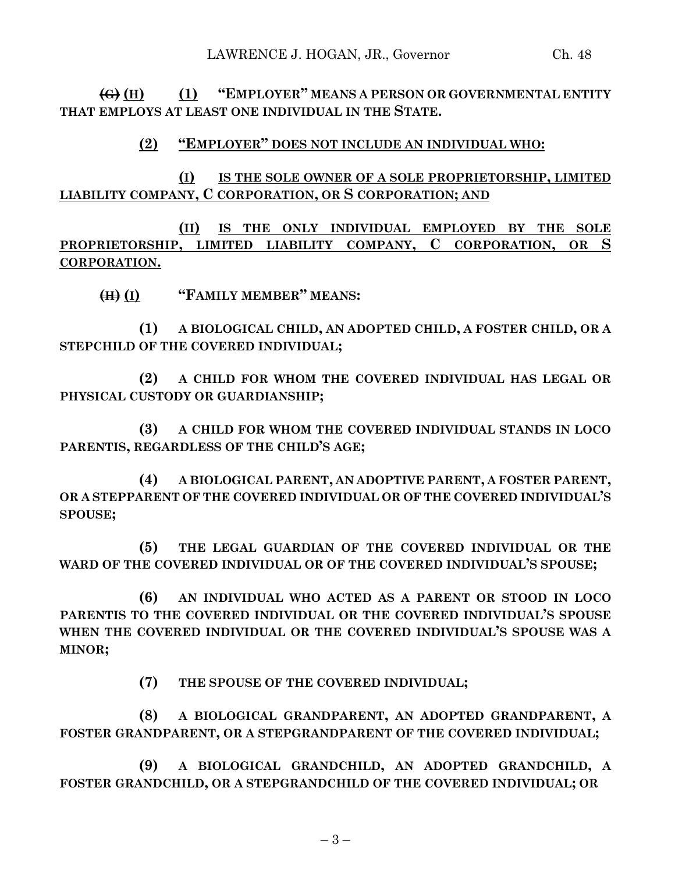# **(2) "EMPLOYER" DOES NOT INCLUDE AN INDIVIDUAL WHO:**

**(I) IS THE SOLE OWNER OF A SOLE PROPRIETORSHIP, LIMITED LIABILITY COMPANY, C CORPORATION, OR S CORPORATION; AND**

**(II) IS THE ONLY INDIVIDUAL EMPLOYED BY THE SOLE PROPRIETORSHIP, LIMITED LIABILITY COMPANY, C CORPORATION, OR S CORPORATION.**

**(H) (I) "FAMILY MEMBER" MEANS:**

**(1) A BIOLOGICAL CHILD, AN ADOPTED CHILD, A FOSTER CHILD, OR A STEPCHILD OF THE COVERED INDIVIDUAL;**

**(2) A CHILD FOR WHOM THE COVERED INDIVIDUAL HAS LEGAL OR PHYSICAL CUSTODY OR GUARDIANSHIP;**

**(3) A CHILD FOR WHOM THE COVERED INDIVIDUAL STANDS IN LOCO PARENTIS, REGARDLESS OF THE CHILD'S AGE;**

**(4) A BIOLOGICAL PARENT, AN ADOPTIVE PARENT, A FOSTER PARENT, OR A STEPPARENT OF THE COVERED INDIVIDUAL OR OF THE COVERED INDIVIDUAL'S SPOUSE;**

**(5) THE LEGAL GUARDIAN OF THE COVERED INDIVIDUAL OR THE WARD OF THE COVERED INDIVIDUAL OR OF THE COVERED INDIVIDUAL'S SPOUSE;**

**(6) AN INDIVIDUAL WHO ACTED AS A PARENT OR STOOD IN LOCO PARENTIS TO THE COVERED INDIVIDUAL OR THE COVERED INDIVIDUAL'S SPOUSE WHEN THE COVERED INDIVIDUAL OR THE COVERED INDIVIDUAL'S SPOUSE WAS A MINOR;**

**(7) THE SPOUSE OF THE COVERED INDIVIDUAL;**

**(8) A BIOLOGICAL GRANDPARENT, AN ADOPTED GRANDPARENT, A FOSTER GRANDPARENT, OR A STEPGRANDPARENT OF THE COVERED INDIVIDUAL;**

**(9) A BIOLOGICAL GRANDCHILD, AN ADOPTED GRANDCHILD, A FOSTER GRANDCHILD, OR A STEPGRANDCHILD OF THE COVERED INDIVIDUAL; OR**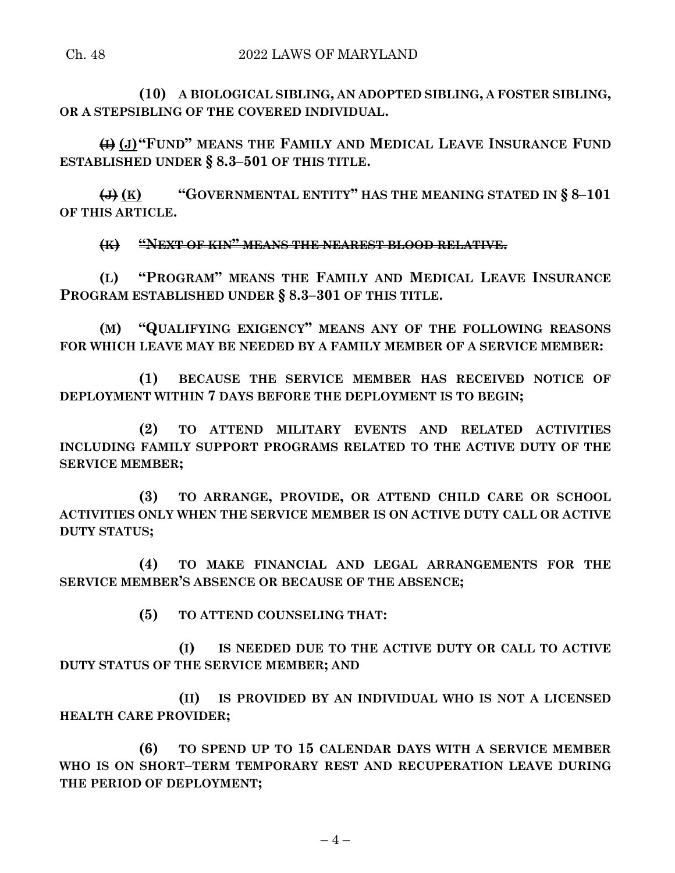**(10) A BIOLOGICAL SIBLING, AN ADOPTED SIBLING, A FOSTER SIBLING, OR A STEPSIBLING OF THE COVERED INDIVIDUAL.**

**(I) (J)"FUND" MEANS THE FAMILY AND MEDICAL LEAVE INSURANCE FUND ESTABLISHED UNDER § 8.3–501 OF THIS TITLE.**

**(J) (K) "GOVERNMENTAL ENTITY" HAS THE MEANING STATED IN § 8–101 OF THIS ARTICLE.**

**(K) "NEXT OF KIN" MEANS THE NEAREST BLOOD RELATIVE.**

**(L) "PROGRAM" MEANS THE FAMILY AND MEDICAL LEAVE INSURANCE PROGRAM ESTABLISHED UNDER § 8.3–301 OF THIS TITLE.**

**(M) "QUALIFYING EXIGENCY" MEANS ANY OF THE FOLLOWING REASONS FOR WHICH LEAVE MAY BE NEEDED BY A FAMILY MEMBER OF A SERVICE MEMBER:**

**(1) BECAUSE THE SERVICE MEMBER HAS RECEIVED NOTICE OF DEPLOYMENT WITHIN 7 DAYS BEFORE THE DEPLOYMENT IS TO BEGIN;**

**(2) TO ATTEND MILITARY EVENTS AND RELATED ACTIVITIES INCLUDING FAMILY SUPPORT PROGRAMS RELATED TO THE ACTIVE DUTY OF THE SERVICE MEMBER;**

**(3) TO ARRANGE, PROVIDE, OR ATTEND CHILD CARE OR SCHOOL ACTIVITIES ONLY WHEN THE SERVICE MEMBER IS ON ACTIVE DUTY CALL OR ACTIVE DUTY STATUS;**

**(4) TO MAKE FINANCIAL AND LEGAL ARRANGEMENTS FOR THE SERVICE MEMBER'S ABSENCE OR BECAUSE OF THE ABSENCE;**

**(5) TO ATTEND COUNSELING THAT:**

**(I) IS NEEDED DUE TO THE ACTIVE DUTY OR CALL TO ACTIVE DUTY STATUS OF THE SERVICE MEMBER; AND**

**(II) IS PROVIDED BY AN INDIVIDUAL WHO IS NOT A LICENSED HEALTH CARE PROVIDER;**

**(6) TO SPEND UP TO 15 CALENDAR DAYS WITH A SERVICE MEMBER WHO IS ON SHORT–TERM TEMPORARY REST AND RECUPERATION LEAVE DURING THE PERIOD OF DEPLOYMENT;**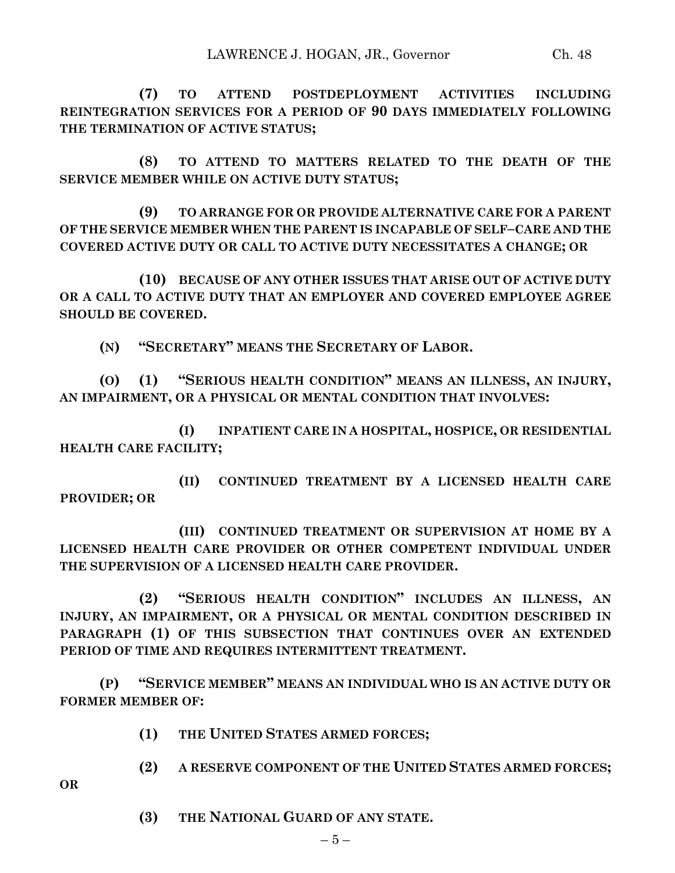**(7) TO ATTEND POSTDEPLOYMENT ACTIVITIES INCLUDING REINTEGRATION SERVICES FOR A PERIOD OF 90 DAYS IMMEDIATELY FOLLOWING THE TERMINATION OF ACTIVE STATUS;**

**(8) TO ATTEND TO MATTERS RELATED TO THE DEATH OF THE SERVICE MEMBER WHILE ON ACTIVE DUTY STATUS;**

**(9) TO ARRANGE FOR OR PROVIDE ALTERNATIVE CARE FOR A PARENT OF THE SERVICE MEMBER WHEN THE PARENT IS INCAPABLE OF SELF–CARE AND THE COVERED ACTIVE DUTY OR CALL TO ACTIVE DUTY NECESSITATES A CHANGE; OR**

**(10) BECAUSE OF ANY OTHER ISSUES THAT ARISE OUT OF ACTIVE DUTY OR A CALL TO ACTIVE DUTY THAT AN EMPLOYER AND COVERED EMPLOYEE AGREE SHOULD BE COVERED.**

**(N) "SECRETARY" MEANS THE SECRETARY OF LABOR.**

**(O) (1) "SERIOUS HEALTH CONDITION" MEANS AN ILLNESS, AN INJURY, AN IMPAIRMENT, OR A PHYSICAL OR MENTAL CONDITION THAT INVOLVES:**

**(I) INPATIENT CARE IN A HOSPITAL, HOSPICE, OR RESIDENTIAL HEALTH CARE FACILITY;**

**(II) CONTINUED TREATMENT BY A LICENSED HEALTH CARE PROVIDER; OR**

**(III) CONTINUED TREATMENT OR SUPERVISION AT HOME BY A LICENSED HEALTH CARE PROVIDER OR OTHER COMPETENT INDIVIDUAL UNDER THE SUPERVISION OF A LICENSED HEALTH CARE PROVIDER.**

**(2) "SERIOUS HEALTH CONDITION" INCLUDES AN ILLNESS, AN INJURY, AN IMPAIRMENT, OR A PHYSICAL OR MENTAL CONDITION DESCRIBED IN PARAGRAPH (1) OF THIS SUBSECTION THAT CONTINUES OVER AN EXTENDED PERIOD OF TIME AND REQUIRES INTERMITTENT TREATMENT.**

**(P) "SERVICE MEMBER" MEANS AN INDIVIDUAL WHO IS AN ACTIVE DUTY OR FORMER MEMBER OF:**

**(1) THE UNITED STATES ARMED FORCES;**

**(2) A RESERVE COMPONENT OF THE UNITED STATES ARMED FORCES;**

- **OR**
- **(3) THE NATIONAL GUARD OF ANY STATE.**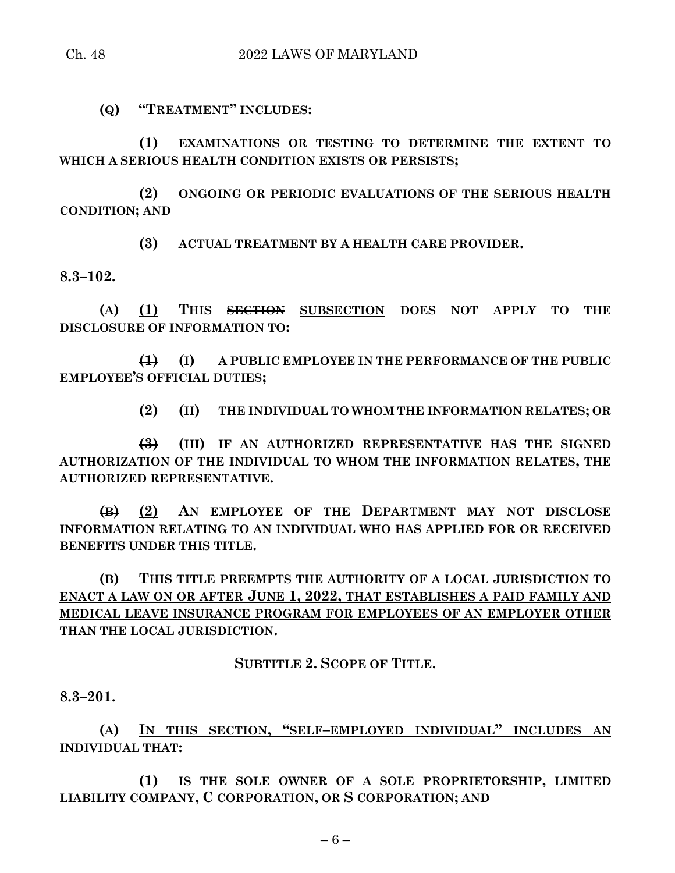**(Q) "TREATMENT" INCLUDES:**

**(1) EXAMINATIONS OR TESTING TO DETERMINE THE EXTENT TO WHICH A SERIOUS HEALTH CONDITION EXISTS OR PERSISTS;**

**(2) ONGOING OR PERIODIC EVALUATIONS OF THE SERIOUS HEALTH CONDITION; AND**

**(3) ACTUAL TREATMENT BY A HEALTH CARE PROVIDER.**

**8.3–102.**

**(A) (1) THIS SECTION SUBSECTION DOES NOT APPLY TO THE DISCLOSURE OF INFORMATION TO:**

**(1) (I) A PUBLIC EMPLOYEE IN THE PERFORMANCE OF THE PUBLIC EMPLOYEE'S OFFICIAL DUTIES;**

**(2) (II) THE INDIVIDUAL TO WHOM THE INFORMATION RELATES; OR**

**(3) (III) IF AN AUTHORIZED REPRESENTATIVE HAS THE SIGNED AUTHORIZATION OF THE INDIVIDUAL TO WHOM THE INFORMATION RELATES, THE AUTHORIZED REPRESENTATIVE.**

**(B) (2) AN EMPLOYEE OF THE DEPARTMENT MAY NOT DISCLOSE INFORMATION RELATING TO AN INDIVIDUAL WHO HAS APPLIED FOR OR RECEIVED BENEFITS UNDER THIS TITLE.**

**(B) THIS TITLE PREEMPTS THE AUTHORITY OF A LOCAL JURISDICTION TO ENACT A LAW ON OR AFTER JUNE 1, 2022, THAT ESTABLISHES A PAID FAMILY AND MEDICAL LEAVE INSURANCE PROGRAM FOR EMPLOYEES OF AN EMPLOYER OTHER THAN THE LOCAL JURISDICTION.**

**SUBTITLE 2. SCOPE OF TITLE.**

**8.3–201.**

**(A) IN THIS SECTION, "SELF–EMPLOYED INDIVIDUAL" INCLUDES AN INDIVIDUAL THAT:**

**(1) IS THE SOLE OWNER OF A SOLE PROPRIETORSHIP, LIMITED LIABILITY COMPANY, C CORPORATION, OR S CORPORATION; AND**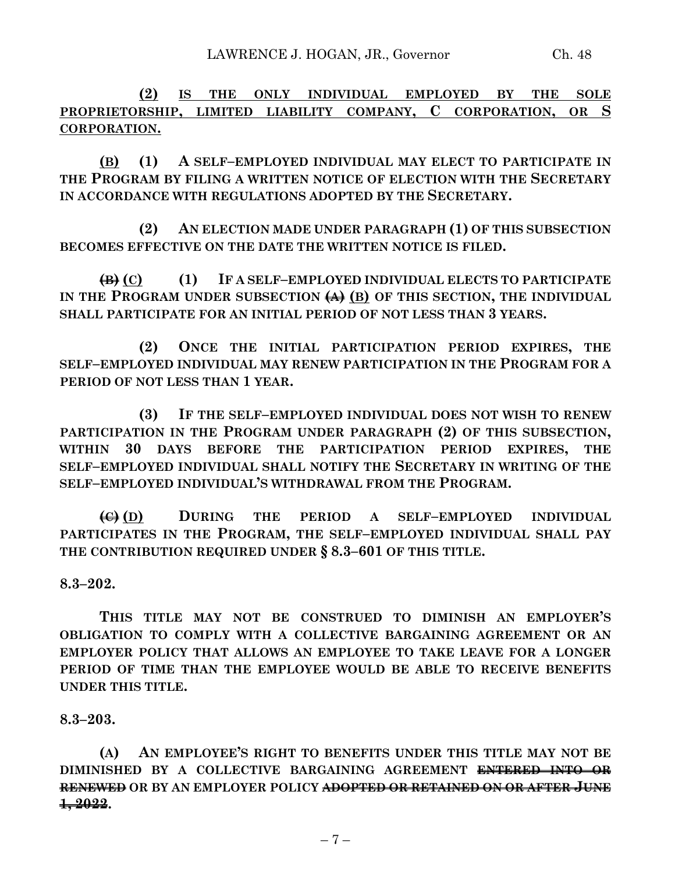**(2) IS THE ONLY INDIVIDUAL EMPLOYED BY THE SOLE PROPRIETORSHIP, LIMITED LIABILITY COMPANY, C CORPORATION, OR S CORPORATION.**

**(B) (1) A SELF–EMPLOYED INDIVIDUAL MAY ELECT TO PARTICIPATE IN THE PROGRAM BY FILING A WRITTEN NOTICE OF ELECTION WITH THE SECRETARY IN ACCORDANCE WITH REGULATIONS ADOPTED BY THE SECRETARY.**

**(2) AN ELECTION MADE UNDER PARAGRAPH (1) OF THIS SUBSECTION BECOMES EFFECTIVE ON THE DATE THE WRITTEN NOTICE IS FILED.**

**(B) (C) (1) IF A SELF–EMPLOYED INDIVIDUAL ELECTS TO PARTICIPATE IN THE PROGRAM UNDER SUBSECTION (A) (B) OF THIS SECTION, THE INDIVIDUAL SHALL PARTICIPATE FOR AN INITIAL PERIOD OF NOT LESS THAN 3 YEARS.**

**(2) ONCE THE INITIAL PARTICIPATION PERIOD EXPIRES, THE SELF–EMPLOYED INDIVIDUAL MAY RENEW PARTICIPATION IN THE PROGRAM FOR A PERIOD OF NOT LESS THAN 1 YEAR.**

**(3) IF THE SELF–EMPLOYED INDIVIDUAL DOES NOT WISH TO RENEW PARTICIPATION IN THE PROGRAM UNDER PARAGRAPH (2) OF THIS SUBSECTION, WITHIN 30 DAYS BEFORE THE PARTICIPATION PERIOD EXPIRES, THE SELF–EMPLOYED INDIVIDUAL SHALL NOTIFY THE SECRETARY IN WRITING OF THE SELF–EMPLOYED INDIVIDUAL'S WITHDRAWAL FROM THE PROGRAM.**

**(C) (D) DURING THE PERIOD A SELF–EMPLOYED INDIVIDUAL PARTICIPATES IN THE PROGRAM, THE SELF–EMPLOYED INDIVIDUAL SHALL PAY THE CONTRIBUTION REQUIRED UNDER § 8.3–601 OF THIS TITLE.**

**8.3–202.**

**THIS TITLE MAY NOT BE CONSTRUED TO DIMINISH AN EMPLOYER'S OBLIGATION TO COMPLY WITH A COLLECTIVE BARGAINING AGREEMENT OR AN EMPLOYER POLICY THAT ALLOWS AN EMPLOYEE TO TAKE LEAVE FOR A LONGER PERIOD OF TIME THAN THE EMPLOYEE WOULD BE ABLE TO RECEIVE BENEFITS UNDER THIS TITLE.**

**8.3–203.**

**(A) AN EMPLOYEE'S RIGHT TO BENEFITS UNDER THIS TITLE MAY NOT BE DIMINISHED BY A COLLECTIVE BARGAINING AGREEMENT ENTERED INTO OR RENEWED OR BY AN EMPLOYER POLICY ADOPTED OR RETAINED ON OR AFTER JUNE 1, 2022.**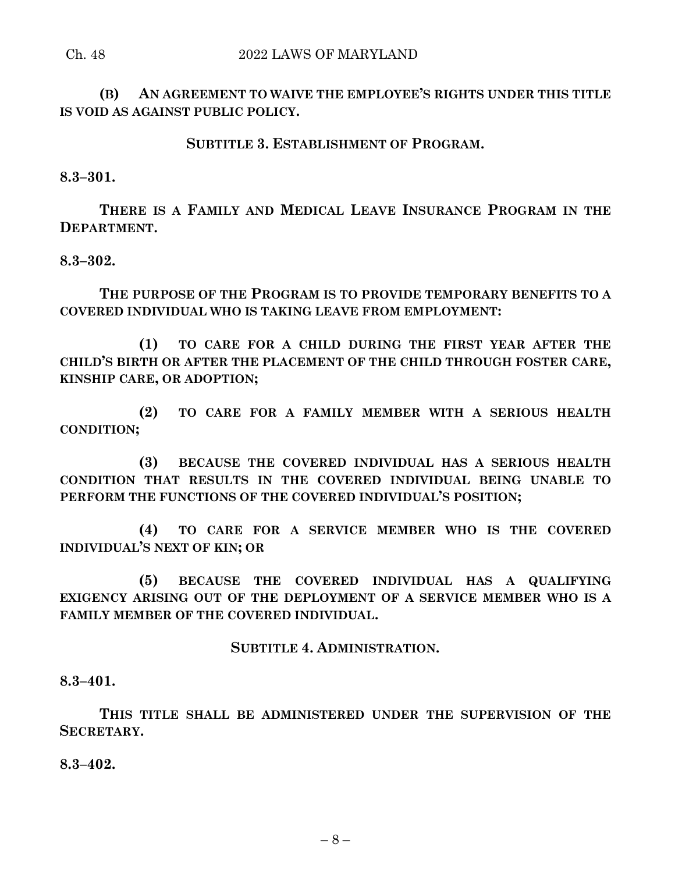#### Ch. 48 2022 LAWS OF MARYLAND

**(B) AN AGREEMENT TO WAIVE THE EMPLOYEE'S RIGHTS UNDER THIS TITLE IS VOID AS AGAINST PUBLIC POLICY.**

## **SUBTITLE 3. ESTABLISHMENT OF PROGRAM.**

**8.3–301.**

**THERE IS A FAMILY AND MEDICAL LEAVE INSURANCE PROGRAM IN THE DEPARTMENT.**

**8.3–302.**

**THE PURPOSE OF THE PROGRAM IS TO PROVIDE TEMPORARY BENEFITS TO A COVERED INDIVIDUAL WHO IS TAKING LEAVE FROM EMPLOYMENT:**

**(1) TO CARE FOR A CHILD DURING THE FIRST YEAR AFTER THE CHILD'S BIRTH OR AFTER THE PLACEMENT OF THE CHILD THROUGH FOSTER CARE, KINSHIP CARE, OR ADOPTION;**

**(2) TO CARE FOR A FAMILY MEMBER WITH A SERIOUS HEALTH CONDITION;**

**(3) BECAUSE THE COVERED INDIVIDUAL HAS A SERIOUS HEALTH CONDITION THAT RESULTS IN THE COVERED INDIVIDUAL BEING UNABLE TO PERFORM THE FUNCTIONS OF THE COVERED INDIVIDUAL'S POSITION;**

**(4) TO CARE FOR A SERVICE MEMBER WHO IS THE COVERED INDIVIDUAL'S NEXT OF KIN; OR**

**(5) BECAUSE THE COVERED INDIVIDUAL HAS A QUALIFYING EXIGENCY ARISING OUT OF THE DEPLOYMENT OF A SERVICE MEMBER WHO IS A FAMILY MEMBER OF THE COVERED INDIVIDUAL.**

#### **SUBTITLE 4. ADMINISTRATION.**

**8.3–401.**

**THIS TITLE SHALL BE ADMINISTERED UNDER THE SUPERVISION OF THE SECRETARY.**

**8.3–402.**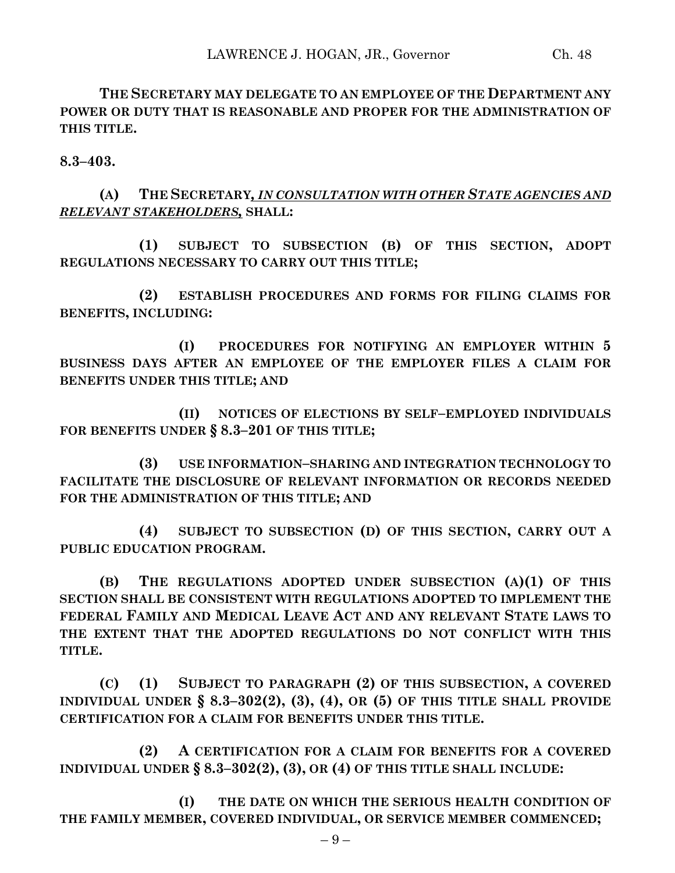**THE SECRETARY MAY DELEGATE TO AN EMPLOYEE OF THE DEPARTMENT ANY POWER OR DUTY THAT IS REASONABLE AND PROPER FOR THE ADMINISTRATION OF THIS TITLE.**

**8.3–403.**

**(A) THE SECRETARY***, IN CONSULTATION WITH OTHER STATE AGENCIES AND RELEVANT STAKEHOLDERS,* **SHALL:**

**(1) SUBJECT TO SUBSECTION (B) OF THIS SECTION, ADOPT REGULATIONS NECESSARY TO CARRY OUT THIS TITLE;**

**(2) ESTABLISH PROCEDURES AND FORMS FOR FILING CLAIMS FOR BENEFITS, INCLUDING:**

**(I) PROCEDURES FOR NOTIFYING AN EMPLOYER WITHIN 5 BUSINESS DAYS AFTER AN EMPLOYEE OF THE EMPLOYER FILES A CLAIM FOR BENEFITS UNDER THIS TITLE; AND**

**(II) NOTICES OF ELECTIONS BY SELF–EMPLOYED INDIVIDUALS FOR BENEFITS UNDER § 8.3–201 OF THIS TITLE;**

**(3) USE INFORMATION–SHARING AND INTEGRATION TECHNOLOGY TO FACILITATE THE DISCLOSURE OF RELEVANT INFORMATION OR RECORDS NEEDED FOR THE ADMINISTRATION OF THIS TITLE; AND**

**(4) SUBJECT TO SUBSECTION (D) OF THIS SECTION, CARRY OUT A PUBLIC EDUCATION PROGRAM.**

**(B) THE REGULATIONS ADOPTED UNDER SUBSECTION (A)(1) OF THIS SECTION SHALL BE CONSISTENT WITH REGULATIONS ADOPTED TO IMPLEMENT THE FEDERAL FAMILY AND MEDICAL LEAVE ACT AND ANY RELEVANT STATE LAWS TO THE EXTENT THAT THE ADOPTED REGULATIONS DO NOT CONFLICT WITH THIS TITLE.**

**(C) (1) SUBJECT TO PARAGRAPH (2) OF THIS SUBSECTION, A COVERED INDIVIDUAL UNDER § 8.3–302(2), (3), (4), OR (5) OF THIS TITLE SHALL PROVIDE CERTIFICATION FOR A CLAIM FOR BENEFITS UNDER THIS TITLE.**

**(2) A CERTIFICATION FOR A CLAIM FOR BENEFITS FOR A COVERED INDIVIDUAL UNDER § 8.3–302(2), (3), OR (4) OF THIS TITLE SHALL INCLUDE:**

**(I) THE DATE ON WHICH THE SERIOUS HEALTH CONDITION OF THE FAMILY MEMBER, COVERED INDIVIDUAL, OR SERVICE MEMBER COMMENCED;**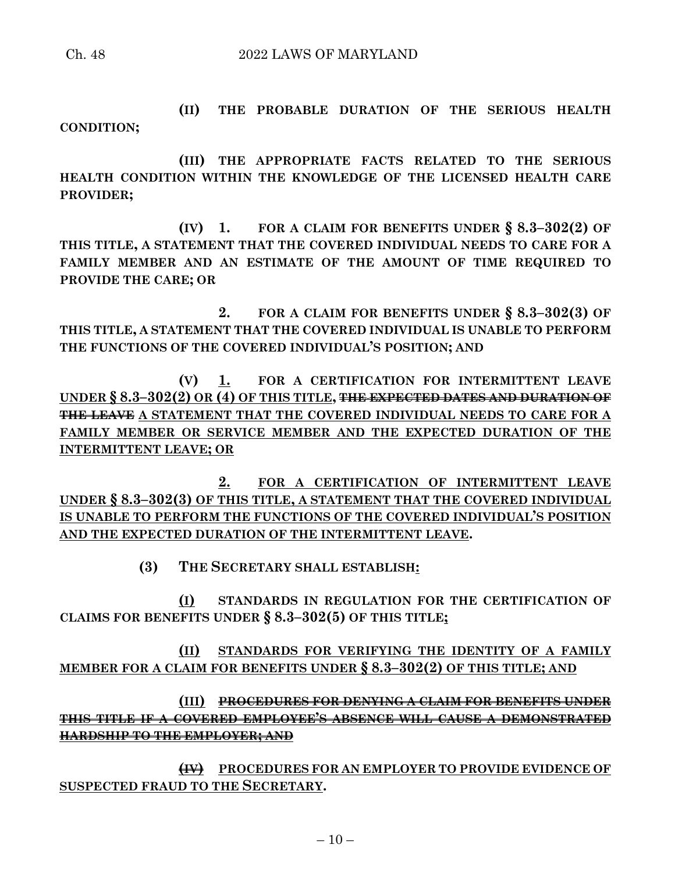**(II) THE PROBABLE DURATION OF THE SERIOUS HEALTH CONDITION;**

**(III) THE APPROPRIATE FACTS RELATED TO THE SERIOUS HEALTH CONDITION WITHIN THE KNOWLEDGE OF THE LICENSED HEALTH CARE PROVIDER;**

**(IV) 1. FOR A CLAIM FOR BENEFITS UNDER § 8.3–302(2) OF THIS TITLE, A STATEMENT THAT THE COVERED INDIVIDUAL NEEDS TO CARE FOR A FAMILY MEMBER AND AN ESTIMATE OF THE AMOUNT OF TIME REQUIRED TO PROVIDE THE CARE; OR**

**2. FOR A CLAIM FOR BENEFITS UNDER § 8.3–302(3) OF THIS TITLE, A STATEMENT THAT THE COVERED INDIVIDUAL IS UNABLE TO PERFORM THE FUNCTIONS OF THE COVERED INDIVIDUAL'S POSITION; AND**

**(V) 1. FOR A CERTIFICATION FOR INTERMITTENT LEAVE UNDER § 8.3–302(2) OR (4) OF THIS TITLE, THE EXPECTED DATES AND DURATION OF THE LEAVE A STATEMENT THAT THE COVERED INDIVIDUAL NEEDS TO CARE FOR A FAMILY MEMBER OR SERVICE MEMBER AND THE EXPECTED DURATION OF THE INTERMITTENT LEAVE; OR**

**2. FOR A CERTIFICATION OF INTERMITTENT LEAVE UNDER § 8.3–302(3) OF THIS TITLE, A STATEMENT THAT THE COVERED INDIVIDUAL IS UNABLE TO PERFORM THE FUNCTIONS OF THE COVERED INDIVIDUAL'S POSITION AND THE EXPECTED DURATION OF THE INTERMITTENT LEAVE.**

**(3) THE SECRETARY SHALL ESTABLISH:**

**(I) STANDARDS IN REGULATION FOR THE CERTIFICATION OF CLAIMS FOR BENEFITS UNDER § 8.3–302(5) OF THIS TITLE;**

**(II) STANDARDS FOR VERIFYING THE IDENTITY OF A FAMILY MEMBER FOR A CLAIM FOR BENEFITS UNDER § 8.3–302(2) OF THIS TITLE; AND**

**(III) PROCEDURES FOR DENYING A CLAIM FOR BENEFITS UNDER THIS TITLE IF A COVERED EMPLOYEE'S ABSENCE WILL CAUSE A DEMONSTRATED HARDSHIP TO THE EMPLOYER; AND**

**(IV) PROCEDURES FOR AN EMPLOYER TO PROVIDE EVIDENCE OF SUSPECTED FRAUD TO THE SECRETARY.**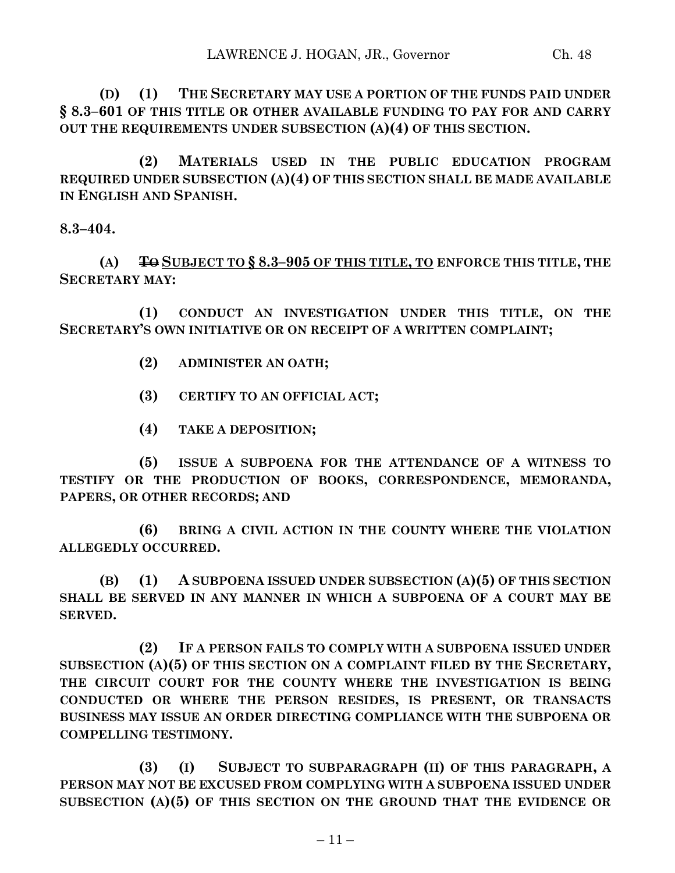**(D) (1) THE SECRETARY MAY USE A PORTION OF THE FUNDS PAID UNDER § 8.3–601 OF THIS TITLE OR OTHER AVAILABLE FUNDING TO PAY FOR AND CARRY OUT THE REQUIREMENTS UNDER SUBSECTION (A)(4) OF THIS SECTION.**

**(2) MATERIALS USED IN THE PUBLIC EDUCATION PROGRAM REQUIRED UNDER SUBSECTION (A)(4) OF THIS SECTION SHALL BE MADE AVAILABLE IN ENGLISH AND SPANISH.**

**8.3–404.**

**(A) TO SUBJECT TO § 8.3–905 OF THIS TITLE, TO ENFORCE THIS TITLE, THE SECRETARY MAY:**

**(1) CONDUCT AN INVESTIGATION UNDER THIS TITLE, ON THE SECRETARY'S OWN INITIATIVE OR ON RECEIPT OF A WRITTEN COMPLAINT;**

**(2) ADMINISTER AN OATH;**

**(3) CERTIFY TO AN OFFICIAL ACT;**

**(4) TAKE A DEPOSITION;**

**(5) ISSUE A SUBPOENA FOR THE ATTENDANCE OF A WITNESS TO TESTIFY OR THE PRODUCTION OF BOOKS, CORRESPONDENCE, MEMORANDA, PAPERS, OR OTHER RECORDS; AND**

**(6) BRING A CIVIL ACTION IN THE COUNTY WHERE THE VIOLATION ALLEGEDLY OCCURRED.**

**(B) (1) A SUBPOENA ISSUED UNDER SUBSECTION (A)(5) OF THIS SECTION SHALL BE SERVED IN ANY MANNER IN WHICH A SUBPOENA OF A COURT MAY BE SERVED.**

**(2) IF A PERSON FAILS TO COMPLY WITH A SUBPOENA ISSUED UNDER SUBSECTION (A)(5) OF THIS SECTION ON A COMPLAINT FILED BY THE SECRETARY, THE CIRCUIT COURT FOR THE COUNTY WHERE THE INVESTIGATION IS BEING CONDUCTED OR WHERE THE PERSON RESIDES, IS PRESENT, OR TRANSACTS BUSINESS MAY ISSUE AN ORDER DIRECTING COMPLIANCE WITH THE SUBPOENA OR COMPELLING TESTIMONY.**

**(3) (I) SUBJECT TO SUBPARAGRAPH (II) OF THIS PARAGRAPH, A PERSON MAY NOT BE EXCUSED FROM COMPLYING WITH A SUBPOENA ISSUED UNDER SUBSECTION (A)(5) OF THIS SECTION ON THE GROUND THAT THE EVIDENCE OR**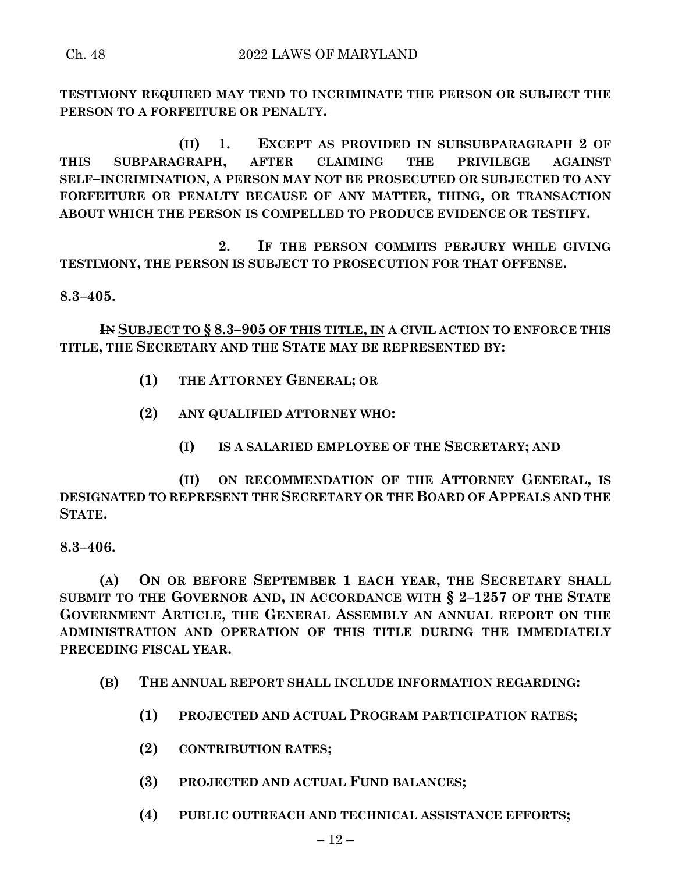**TESTIMONY REQUIRED MAY TEND TO INCRIMINATE THE PERSON OR SUBJECT THE PERSON TO A FORFEITURE OR PENALTY.**

**(II) 1. EXCEPT AS PROVIDED IN SUBSUBPARAGRAPH 2 OF THIS SUBPARAGRAPH, AFTER CLAIMING THE PRIVILEGE AGAINST SELF–INCRIMINATION, A PERSON MAY NOT BE PROSECUTED OR SUBJECTED TO ANY FORFEITURE OR PENALTY BECAUSE OF ANY MATTER, THING, OR TRANSACTION ABOUT WHICH THE PERSON IS COMPELLED TO PRODUCE EVIDENCE OR TESTIFY.**

**2. IF THE PERSON COMMITS PERJURY WHILE GIVING TESTIMONY, THE PERSON IS SUBJECT TO PROSECUTION FOR THAT OFFENSE.**

**8.3–405.**

**IN SUBJECT TO § 8.3–905 OF THIS TITLE, IN A CIVIL ACTION TO ENFORCE THIS TITLE, THE SECRETARY AND THE STATE MAY BE REPRESENTED BY:**

- **(1) THE ATTORNEY GENERAL; OR**
- **(2) ANY QUALIFIED ATTORNEY WHO:**
	- **(I) IS A SALARIED EMPLOYEE OF THE SECRETARY; AND**

**(II) ON RECOMMENDATION OF THE ATTORNEY GENERAL, IS DESIGNATED TO REPRESENT THE SECRETARY OR THE BOARD OF APPEALS AND THE STATE.**

## **8.3–406.**

**(A) ON OR BEFORE SEPTEMBER 1 EACH YEAR, THE SECRETARY SHALL SUBMIT TO THE GOVERNOR AND, IN ACCORDANCE WITH § 2–1257 OF THE STATE GOVERNMENT ARTICLE, THE GENERAL ASSEMBLY AN ANNUAL REPORT ON THE ADMINISTRATION AND OPERATION OF THIS TITLE DURING THE IMMEDIATELY PRECEDING FISCAL YEAR.**

- **(B) THE ANNUAL REPORT SHALL INCLUDE INFORMATION REGARDING:**
	- **(1) PROJECTED AND ACTUAL PROGRAM PARTICIPATION RATES;**
	- **(2) CONTRIBUTION RATES;**
	- **(3) PROJECTED AND ACTUAL FUND BALANCES;**
	- **(4) PUBLIC OUTREACH AND TECHNICAL ASSISTANCE EFFORTS;**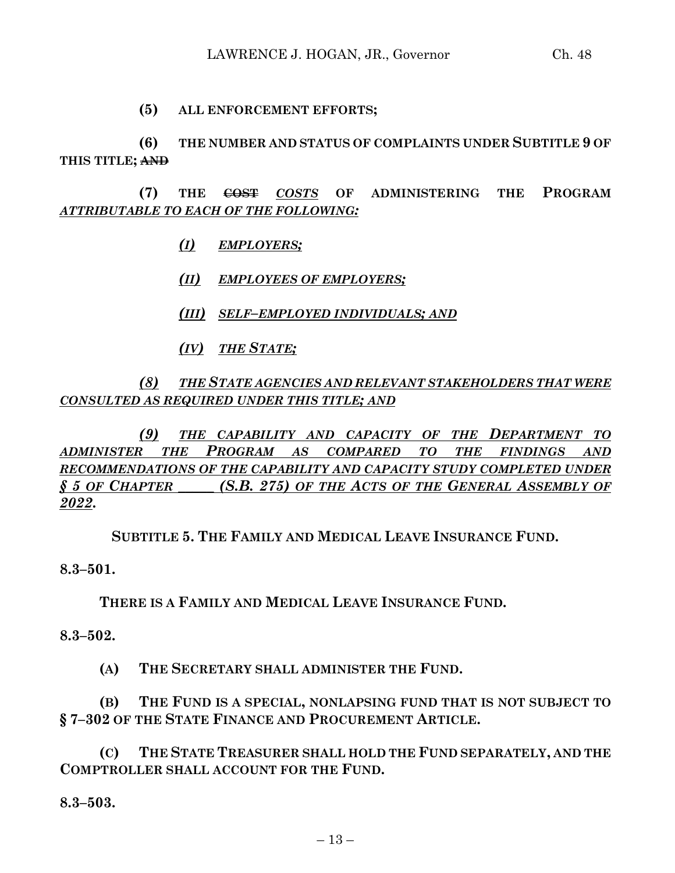## **(5) ALL ENFORCEMENT EFFORTS;**

**(6) THE NUMBER AND STATUS OF COMPLAINTS UNDER SUBTITLE 9 OF THIS TITLE; AND**

**(7) THE COST** *COSTS* **OF ADMINISTERING THE PROGRAM** *ATTRIBUTABLE TO EACH OF THE FOLLOWING:*

- *(I) EMPLOYERS;*
- *(II) EMPLOYEES OF EMPLOYERS;*
- *(III) SELF–EMPLOYED INDIVIDUALS; AND*
- *(IV) THE STATE;*

*(8) THE STATE AGENCIES AND RELEVANT STAKEHOLDERS THAT WERE CONSULTED AS REQUIRED UNDER THIS TITLE; AND*

*(9) THE CAPABILITY AND CAPACITY OF THE DEPARTMENT TO ADMINISTER THE PROGRAM AS COMPARED TO THE FINDINGS AND RECOMMENDATIONS OF THE CAPABILITY AND CAPACITY STUDY COMPLETED UNDER § 5 OF CHAPTER \_\_\_\_\_ (S.B. 275) OF THE ACTS OF THE GENERAL ASSEMBLY OF 2022***.**

**SUBTITLE 5. THE FAMILY AND MEDICAL LEAVE INSURANCE FUND.**

**8.3–501.**

**THERE IS A FAMILY AND MEDICAL LEAVE INSURANCE FUND.**

**8.3–502.**

**(A) THE SECRETARY SHALL ADMINISTER THE FUND.**

**(B) THE FUND IS A SPECIAL, NONLAPSING FUND THAT IS NOT SUBJECT TO § 7–302 OF THE STATE FINANCE AND PROCUREMENT ARTICLE.**

**(C) THE STATE TREASURER SHALL HOLD THE FUND SEPARATELY, AND THE COMPTROLLER SHALL ACCOUNT FOR THE FUND.**

**8.3–503.**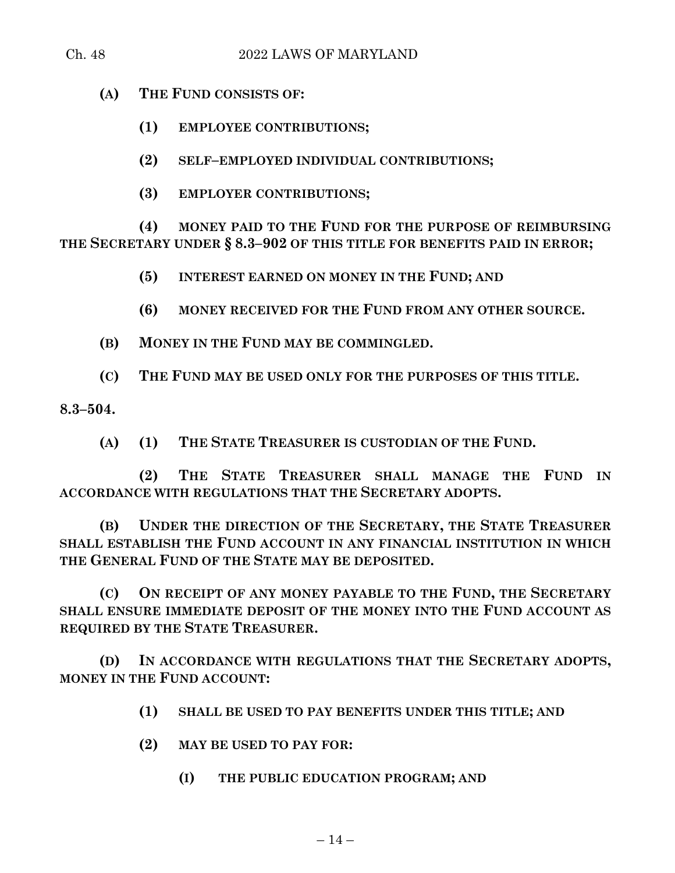**(A) THE FUND CONSISTS OF:**

**(1) EMPLOYEE CONTRIBUTIONS;**

**(2) SELF–EMPLOYED INDIVIDUAL CONTRIBUTIONS;**

**(3) EMPLOYER CONTRIBUTIONS;**

**(4) MONEY PAID TO THE FUND FOR THE PURPOSE OF REIMBURSING THE SECRETARY UNDER § 8.3–902 OF THIS TITLE FOR BENEFITS PAID IN ERROR;**

**(5) INTEREST EARNED ON MONEY IN THE FUND; AND**

**(6) MONEY RECEIVED FOR THE FUND FROM ANY OTHER SOURCE.**

**(B) MONEY IN THE FUND MAY BE COMMINGLED.**

**(C) THE FUND MAY BE USED ONLY FOR THE PURPOSES OF THIS TITLE.**

**8.3–504.**

**(A) (1) THE STATE TREASURER IS CUSTODIAN OF THE FUND.**

**(2) THE STATE TREASURER SHALL MANAGE THE FUND IN ACCORDANCE WITH REGULATIONS THAT THE SECRETARY ADOPTS.**

**(B) UNDER THE DIRECTION OF THE SECRETARY, THE STATE TREASURER SHALL ESTABLISH THE FUND ACCOUNT IN ANY FINANCIAL INSTITUTION IN WHICH THE GENERAL FUND OF THE STATE MAY BE DEPOSITED.**

**(C) ON RECEIPT OF ANY MONEY PAYABLE TO THE FUND, THE SECRETARY SHALL ENSURE IMMEDIATE DEPOSIT OF THE MONEY INTO THE FUND ACCOUNT AS REQUIRED BY THE STATE TREASURER.**

**(D) IN ACCORDANCE WITH REGULATIONS THAT THE SECRETARY ADOPTS, MONEY IN THE FUND ACCOUNT:**

**(1) SHALL BE USED TO PAY BENEFITS UNDER THIS TITLE; AND**

**(2) MAY BE USED TO PAY FOR:**

**(I) THE PUBLIC EDUCATION PROGRAM; AND**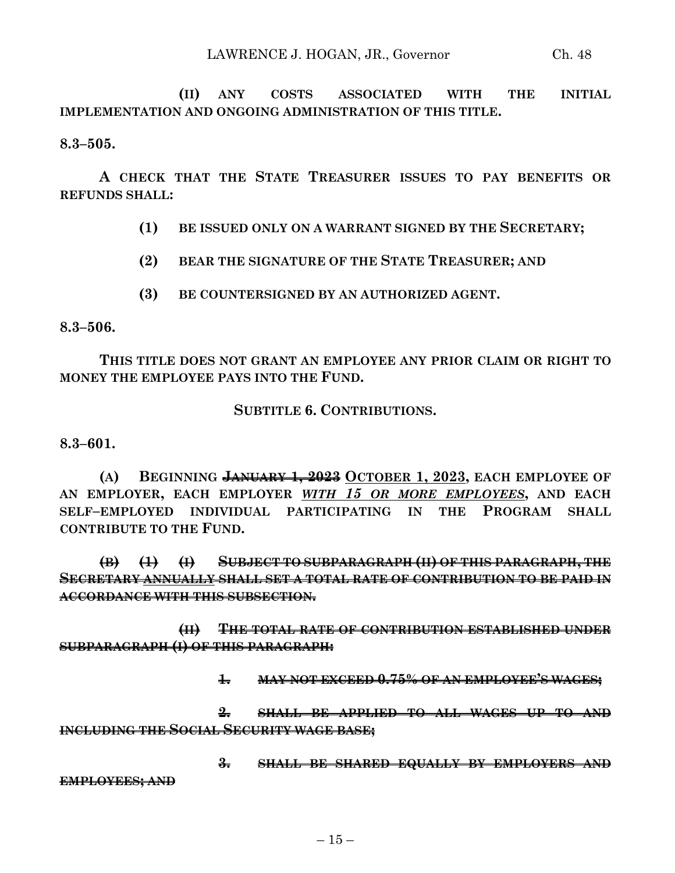**(II) ANY COSTS ASSOCIATED WITH THE INITIAL IMPLEMENTATION AND ONGOING ADMINISTRATION OF THIS TITLE.**

**8.3–505.**

**A CHECK THAT THE STATE TREASURER ISSUES TO PAY BENEFITS OR REFUNDS SHALL:**

**(1) BE ISSUED ONLY ON A WARRANT SIGNED BY THE SECRETARY;**

- **(2) BEAR THE SIGNATURE OF THE STATE TREASURER; AND**
- **(3) BE COUNTERSIGNED BY AN AUTHORIZED AGENT.**

**8.3–506.**

**THIS TITLE DOES NOT GRANT AN EMPLOYEE ANY PRIOR CLAIM OR RIGHT TO MONEY THE EMPLOYEE PAYS INTO THE FUND.**

## **SUBTITLE 6. CONTRIBUTIONS.**

**8.3–601.**

**(A) BEGINNING JANUARY 1, 2023 OCTOBER 1, 2023, EACH EMPLOYEE OF AN EMPLOYER, EACH EMPLOYER** *WITH 15 OR MORE EMPLOYEES***, AND EACH SELF–EMPLOYED INDIVIDUAL PARTICIPATING IN THE PROGRAM SHALL CONTRIBUTE TO THE FUND.**

**(B) (1) (I) SUBJECT TO SUBPARAGRAPH (II) OF THIS PARAGRAPH, THE SECRETARY ANNUALLY SHALL SET A TOTAL RATE OF CONTRIBUTION TO BE PAID IN ACCORDANCE WITH THIS SUBSECTION.**

**(II) THE TOTAL RATE OF CONTRIBUTION ESTABLISHED UNDER SUBPARAGRAPH (I) OF THIS PARAGRAPH:**

**1. MAY NOT EXCEED 0.75% OF AN EMPLOYEE'S WAGES;**

**2. SHALL BE APPLIED TO ALL WAGES UP TO AND INCLUDING THE SOCIAL SECURITY WAGE BASE;**

**3. SHALL BE SHARED EQUALLY BY EMPLOYERS AND**

**EMPLOYEES; AND**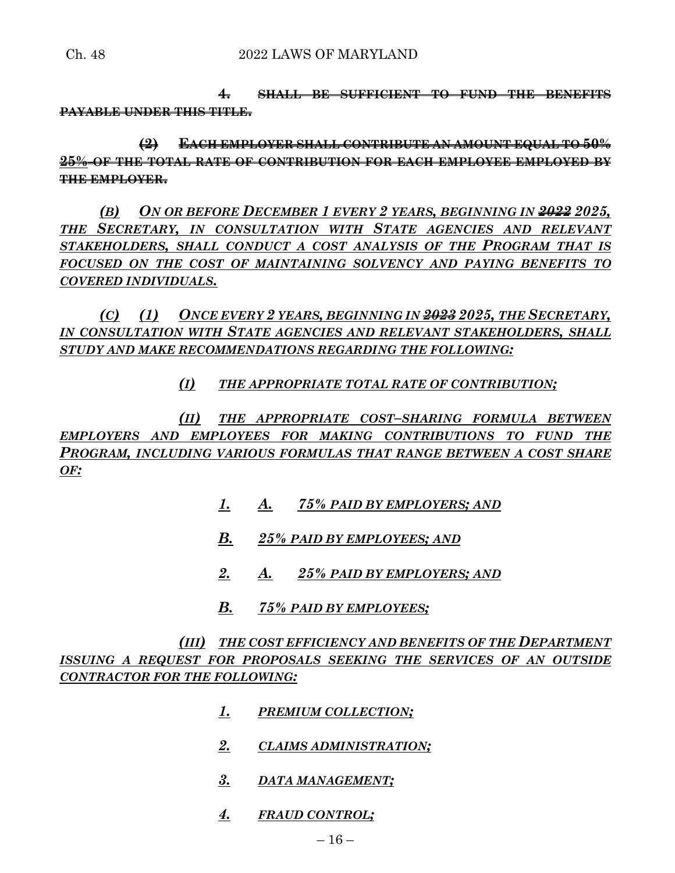**4. SHALL BE SUFFICIENT TO FUND THE BENEFITS PAYABLE UNDER THIS TITLE.**

**(2) EACH EMPLOYER SHALL CONTRIBUTE AN AMOUNT EQUAL TO 50% 25% OF THE TOTAL RATE OF CONTRIBUTION FOR EACH EMPLOYEE EMPLOYED BY THE EMPLOYER.**

*(B) ON OR BEFORE DECEMBER 1 EVERY 2 YEARS, BEGINNING IN 2022 2025, THE SECRETARY, IN CONSULTATION WITH STATE AGENCIES AND RELEVANT STAKEHOLDERS, SHALL CONDUCT A COST ANALYSIS OF THE PROGRAM THAT IS FOCUSED ON THE COST OF MAINTAINING SOLVENCY AND PAYING BENEFITS TO COVERED INDIVIDUALS.*

*(C) (1) ONCE EVERY 2 YEARS, BEGINNING IN 2023 2025, THE SECRETARY, IN CONSULTATION WITH STATE AGENCIES AND RELEVANT STAKEHOLDERS, SHALL STUDY AND MAKE RECOMMENDATIONS REGARDING THE FOLLOWING:*

*(I) THE APPROPRIATE TOTAL RATE OF CONTRIBUTION;*

*(II) THE APPROPRIATE COST–SHARING FORMULA BETWEEN EMPLOYERS AND EMPLOYEES FOR MAKING CONTRIBUTIONS TO FUND THE PROGRAM, INCLUDING VARIOUS FORMULAS THAT RANGE BETWEEN A COST SHARE OF:*

- *1. A. 75% PAID BY EMPLOYERS; AND*
- *B. 25% PAID BY EMPLOYEES; AND*
- *2. A. 25% PAID BY EMPLOYERS; AND*
- *B. 75% PAID BY EMPLOYEES;*

*(III) THE COST EFFICIENCY AND BENEFITS OF THE DEPARTMENT ISSUING A REQUEST FOR PROPOSALS SEEKING THE SERVICES OF AN OUTSIDE CONTRACTOR FOR THE FOLLOWING:*

- *1. PREMIUM COLLECTION;*
- *2. CLAIMS ADMINISTRATION;*
- *3. DATA MANAGEMENT;*
- *4. FRAUD CONTROL;*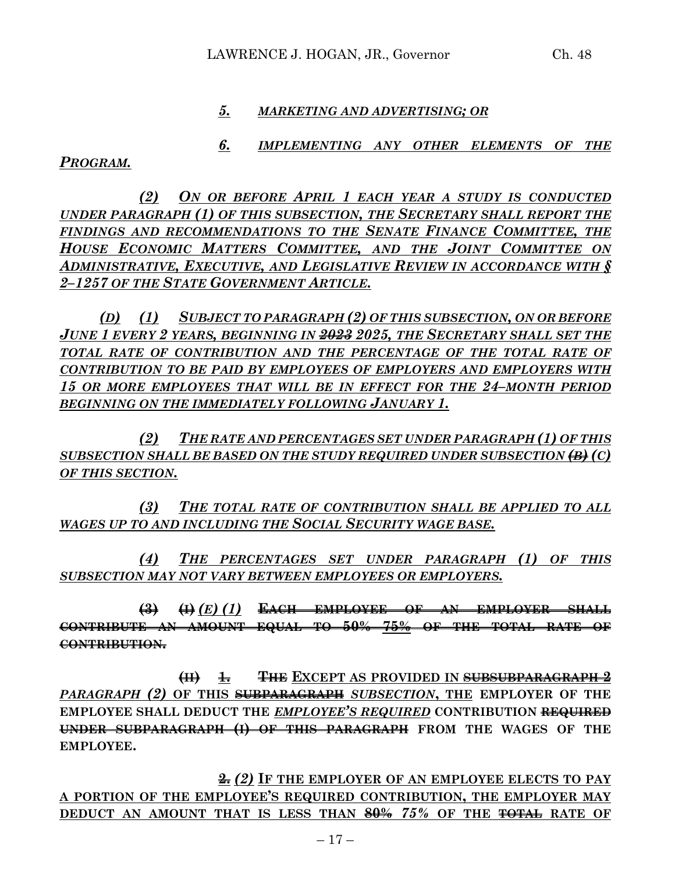### *5. MARKETING AND ADVERTISING; OR*

# *6. IMPLEMENTING ANY OTHER ELEMENTS OF THE*

*PROGRAM.*

*(2) ON OR BEFORE APRIL 1 EACH YEAR A STUDY IS CONDUCTED UNDER PARAGRAPH (1) OF THIS SUBSECTION, THE SECRETARY SHALL REPORT THE FINDINGS AND RECOMMENDATIONS TO THE SENATE FINANCE COMMITTEE, THE HOUSE ECONOMIC MATTERS COMMITTEE, AND THE JOINT COMMITTEE ON ADMINISTRATIVE, EXECUTIVE, AND LEGISLATIVE REVIEW IN ACCORDANCE WITH § 2–1257 OF THE STATE GOVERNMENT ARTICLE.*

*(D) (1) SUBJECT TO PARAGRAPH (2) OF THIS SUBSECTION, ON OR BEFORE JUNE 1 EVERY 2 YEARS, BEGINNING IN 2023 2025, THE SECRETARY SHALL SET THE*  TOTAL RATE OF CONTRIBUTION AND THE PERCENTAGE OF THE TOTAL RATE OF *CONTRIBUTION TO BE PAID BY EMPLOYEES OF EMPLOYERS AND EMPLOYERS WITH 15 OR MORE EMPLOYEES THAT WILL BE IN EFFECT FOR THE 24–MONTH PERIOD BEGINNING ON THE IMMEDIATELY FOLLOWING JANUARY 1.*

*(2) THE RATE AND PERCENTAGES SET UNDER PARAGRAPH (1) OF THIS SUBSECTION SHALL BE BASED ON THE STUDY REQUIRED UNDER SUBSECTION (B) (C) OF THIS SECTION.*

*(3) THE TOTAL RATE OF CONTRIBUTION SHALL BE APPLIED TO ALL WAGES UP TO AND INCLUDING THE SOCIAL SECURITY WAGE BASE.*

*(4) THE PERCENTAGES SET UNDER PARAGRAPH (1) OF THIS SUBSECTION MAY NOT VARY BETWEEN EMPLOYEES OR EMPLOYERS.*

**(3) (I)** *(E) (1)* **EACH EMPLOYEE OF AN EMPLOYER SHALL CONTRIBUTE AN AMOUNT EQUAL TO 50% 75% OF THE TOTAL RATE OF CONTRIBUTION.**

**(II) 1. THE EXCEPT AS PROVIDED IN SUBSUBPARAGRAPH 2** *PARAGRAPH (2)* **OF THIS SUBPARAGRAPH** *SUBSECTION***, THE EMPLOYER OF THE EMPLOYEE SHALL DEDUCT THE** *EMPLOYEE'S REQUIRED* **CONTRIBUTION REQUIRED UNDER SUBPARAGRAPH (I) OF THIS PARAGRAPH FROM THE WAGES OF THE EMPLOYEE.**

**2.** *(2)* **IF THE EMPLOYER OF AN EMPLOYEE ELECTS TO PAY A PORTION OF THE EMPLOYEE'S REQUIRED CONTRIBUTION, THE EMPLOYER MAY DEDUCT AN AMOUNT THAT IS LESS THAN 80%** *75%* **OF THE TOTAL RATE OF**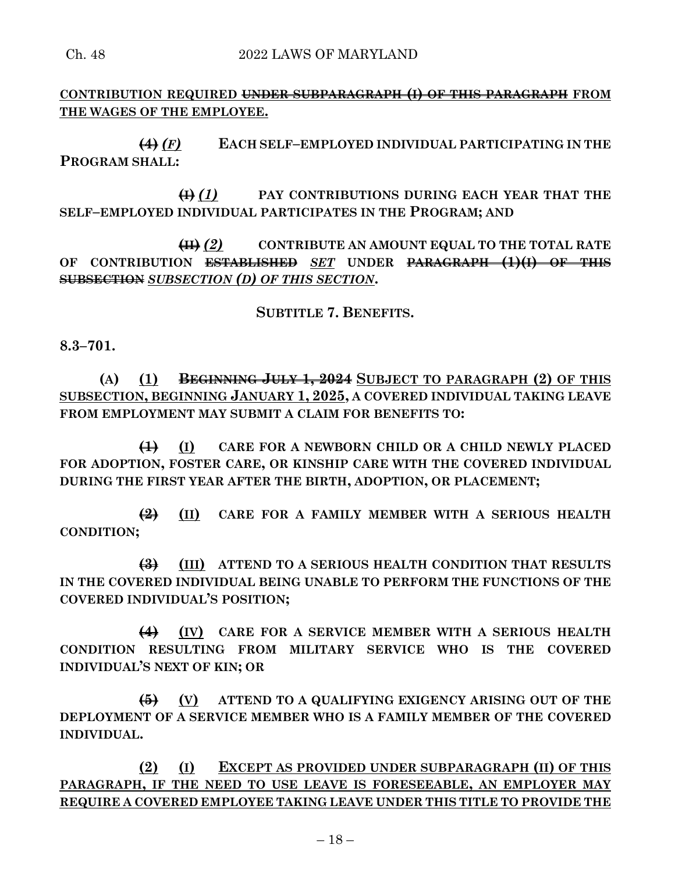**CONTRIBUTION REQUIRED UNDER SUBPARAGRAPH (I) OF THIS PARAGRAPH FROM THE WAGES OF THE EMPLOYEE.**

**(4)** *(F)* **EACH SELF–EMPLOYED INDIVIDUAL PARTICIPATING IN THE PROGRAM SHALL:**

**(I)** *(1)* **PAY CONTRIBUTIONS DURING EACH YEAR THAT THE SELF–EMPLOYED INDIVIDUAL PARTICIPATES IN THE PROGRAM; AND**

**(II)** *(2)* **CONTRIBUTE AN AMOUNT EQUAL TO THE TOTAL RATE OF CONTRIBUTION ESTABLISHED** *SET* **UNDER PARAGRAPH (1)(I) OF THIS SUBSECTION** *SUBSECTION (D) OF THIS SECTION***.**

**SUBTITLE 7. BENEFITS.**

**8.3–701.**

**(A) (1) BEGINNING JULY 1, 2024 SUBJECT TO PARAGRAPH (2) OF THIS SUBSECTION, BEGINNING JANUARY 1, 2025, A COVERED INDIVIDUAL TAKING LEAVE FROM EMPLOYMENT MAY SUBMIT A CLAIM FOR BENEFITS TO:**

**(1) (I) CARE FOR A NEWBORN CHILD OR A CHILD NEWLY PLACED FOR ADOPTION, FOSTER CARE, OR KINSHIP CARE WITH THE COVERED INDIVIDUAL DURING THE FIRST YEAR AFTER THE BIRTH, ADOPTION, OR PLACEMENT;**

**(2) (II) CARE FOR A FAMILY MEMBER WITH A SERIOUS HEALTH CONDITION;**

**(3) (III) ATTEND TO A SERIOUS HEALTH CONDITION THAT RESULTS IN THE COVERED INDIVIDUAL BEING UNABLE TO PERFORM THE FUNCTIONS OF THE COVERED INDIVIDUAL'S POSITION;**

**(4) (IV) CARE FOR A SERVICE MEMBER WITH A SERIOUS HEALTH CONDITION RESULTING FROM MILITARY SERVICE WHO IS THE COVERED INDIVIDUAL'S NEXT OF KIN; OR**

**(5) (V) ATTEND TO A QUALIFYING EXIGENCY ARISING OUT OF THE DEPLOYMENT OF A SERVICE MEMBER WHO IS A FAMILY MEMBER OF THE COVERED INDIVIDUAL.**

**(2) (I) EXCEPT AS PROVIDED UNDER SUBPARAGRAPH (II) OF THIS PARAGRAPH, IF THE NEED TO USE LEAVE IS FORESEEABLE, AN EMPLOYER MAY REQUIRE A COVERED EMPLOYEE TAKING LEAVE UNDER THIS TITLE TO PROVIDE THE**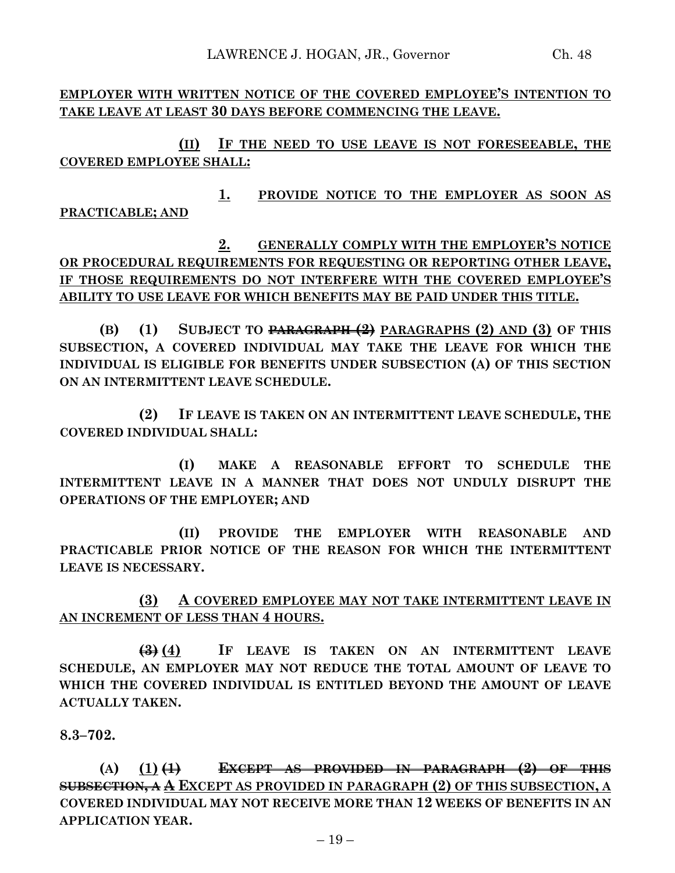**EMPLOYER WITH WRITTEN NOTICE OF THE COVERED EMPLOYEE'S INTENTION TO TAKE LEAVE AT LEAST 30 DAYS BEFORE COMMENCING THE LEAVE.**

**(II) IF THE NEED TO USE LEAVE IS NOT FORESEEABLE, THE COVERED EMPLOYEE SHALL:**

**1. PROVIDE NOTICE TO THE EMPLOYER AS SOON AS PRACTICABLE; AND**

**2. GENERALLY COMPLY WITH THE EMPLOYER'S NOTICE OR PROCEDURAL REQUIREMENTS FOR REQUESTING OR REPORTING OTHER LEAVE, IF THOSE REQUIREMENTS DO NOT INTERFERE WITH THE COVERED EMPLOYEE'S ABILITY TO USE LEAVE FOR WHICH BENEFITS MAY BE PAID UNDER THIS TITLE.**

**(B) (1) SUBJECT TO PARAGRAPH (2) PARAGRAPHS (2) AND (3) OF THIS SUBSECTION, A COVERED INDIVIDUAL MAY TAKE THE LEAVE FOR WHICH THE INDIVIDUAL IS ELIGIBLE FOR BENEFITS UNDER SUBSECTION (A) OF THIS SECTION ON AN INTERMITTENT LEAVE SCHEDULE.**

**(2) IF LEAVE IS TAKEN ON AN INTERMITTENT LEAVE SCHEDULE, THE COVERED INDIVIDUAL SHALL:**

**(I) MAKE A REASONABLE EFFORT TO SCHEDULE THE INTERMITTENT LEAVE IN A MANNER THAT DOES NOT UNDULY DISRUPT THE OPERATIONS OF THE EMPLOYER; AND**

**(II) PROVIDE THE EMPLOYER WITH REASONABLE AND PRACTICABLE PRIOR NOTICE OF THE REASON FOR WHICH THE INTERMITTENT LEAVE IS NECESSARY.**

**(3) A COVERED EMPLOYEE MAY NOT TAKE INTERMITTENT LEAVE IN AN INCREMENT OF LESS THAN 4 HOURS.**

**(3) (4) IF LEAVE IS TAKEN ON AN INTERMITTENT LEAVE SCHEDULE, AN EMPLOYER MAY NOT REDUCE THE TOTAL AMOUNT OF LEAVE TO WHICH THE COVERED INDIVIDUAL IS ENTITLED BEYOND THE AMOUNT OF LEAVE ACTUALLY TAKEN.**

**8.3–702.**

**(A) (1) (1) EXCEPT AS PROVIDED IN PARAGRAPH (2) OF THIS SUBSECTION, A A EXCEPT AS PROVIDED IN PARAGRAPH (2) OF THIS SUBSECTION, A COVERED INDIVIDUAL MAY NOT RECEIVE MORE THAN 12 WEEKS OF BENEFITS IN AN APPLICATION YEAR.**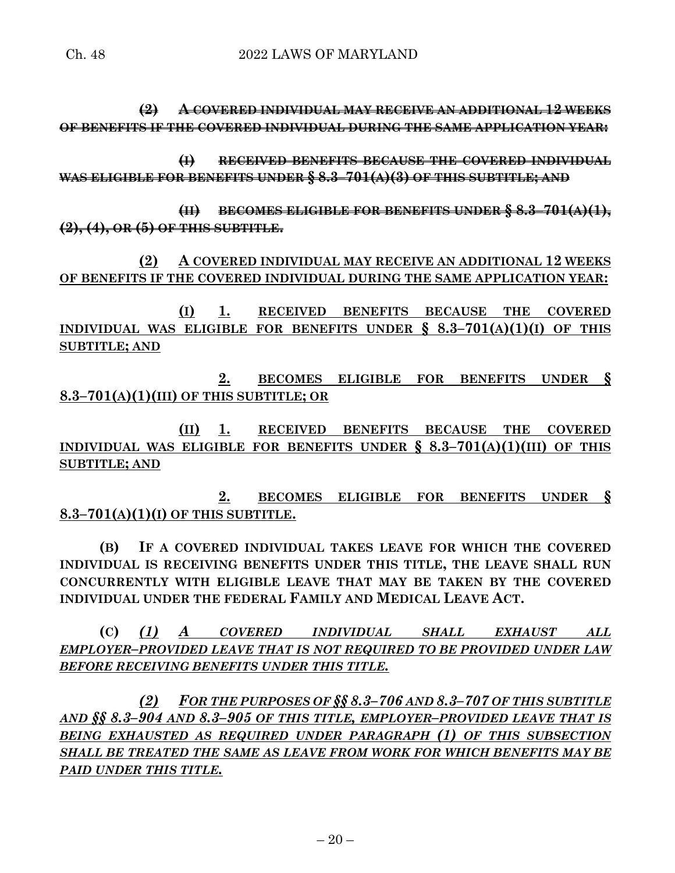**(2) A COVERED INDIVIDUAL MAY RECEIVE AN ADDITIONAL 12 WEEKS OF BENEFITS IF THE COVERED INDIVIDUAL DURING THE SAME APPLICATION YEAR:**

**(I) RECEIVED BENEFITS BECAUSE THE COVERED INDIVIDUAL WAS ELIGIBLE FOR BENEFITS UNDER § 8.3–701(A)(3) OF THIS SUBTITLE; AND**

**(II) BECOMES ELIGIBLE FOR BENEFITS UNDER § 8.3–701(A)(1), (2), (4), OR (5) OF THIS SUBTITLE.**

**(2) A COVERED INDIVIDUAL MAY RECEIVE AN ADDITIONAL 12 WEEKS OF BENEFITS IF THE COVERED INDIVIDUAL DURING THE SAME APPLICATION YEAR:**

**(I) 1. RECEIVED BENEFITS BECAUSE THE COVERED INDIVIDUAL WAS ELIGIBLE FOR BENEFITS UNDER § 8.3–701(A)(1)(I) OF THIS SUBTITLE; AND**

**2. BECOMES ELIGIBLE FOR BENEFITS UNDER § 8.3–701(A)(1)(III) OF THIS SUBTITLE; OR**

**(II) 1. RECEIVED BENEFITS BECAUSE THE COVERED INDIVIDUAL WAS ELIGIBLE FOR BENEFITS UNDER § 8.3–701(A)(1)(III) OF THIS SUBTITLE; AND**

**2. BECOMES ELIGIBLE FOR BENEFITS UNDER § 8.3–701(A)(1)(I) OF THIS SUBTITLE.**

**(B) IF A COVERED INDIVIDUAL TAKES LEAVE FOR WHICH THE COVERED INDIVIDUAL IS RECEIVING BENEFITS UNDER THIS TITLE, THE LEAVE SHALL RUN CONCURRENTLY WITH ELIGIBLE LEAVE THAT MAY BE TAKEN BY THE COVERED INDIVIDUAL UNDER THE FEDERAL FAMILY AND MEDICAL LEAVE ACT.**

**(C)** *(1) A COVERED INDIVIDUAL SHALL EXHAUST ALL EMPLOYER–PROVIDED LEAVE THAT IS NOT REQUIRED TO BE PROVIDED UNDER LAW BEFORE RECEIVING BENEFITS UNDER THIS TITLE.*

*(2) FOR THE PURPOSES OF §§ 8.3–706 AND 8.3–707 OF THIS SUBTITLE AND §§ 8.3–904 AND 8.3–905 OF THIS TITLE, EMPLOYER–PROVIDED LEAVE THAT IS BEING EXHAUSTED AS REQUIRED UNDER PARAGRAPH (1) OF THIS SUBSECTION SHALL BE TREATED THE SAME AS LEAVE FROM WORK FOR WHICH BENEFITS MAY BE PAID UNDER THIS TITLE.*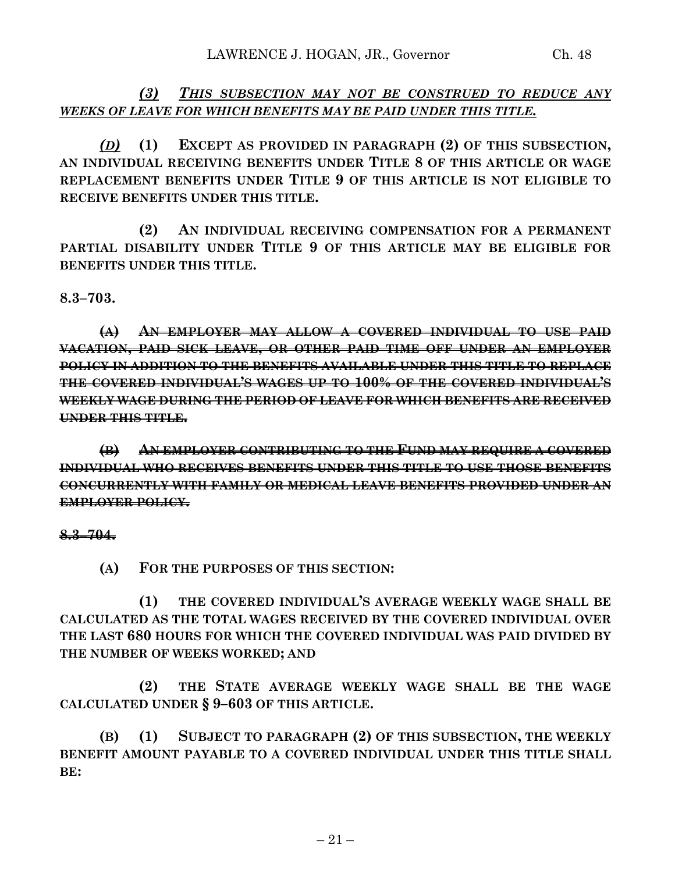*(3) THIS SUBSECTION MAY NOT BE CONSTRUED TO REDUCE ANY WEEKS OF LEAVE FOR WHICH BENEFITS MAY BE PAID UNDER THIS TITLE.*

*(D)* **(1) EXCEPT AS PROVIDED IN PARAGRAPH (2) OF THIS SUBSECTION, AN INDIVIDUAL RECEIVING BENEFITS UNDER TITLE 8 OF THIS ARTICLE OR WAGE REPLACEMENT BENEFITS UNDER TITLE 9 OF THIS ARTICLE IS NOT ELIGIBLE TO RECEIVE BENEFITS UNDER THIS TITLE.**

**(2) AN INDIVIDUAL RECEIVING COMPENSATION FOR A PERMANENT PARTIAL DISABILITY UNDER TITLE 9 OF THIS ARTICLE MAY BE ELIGIBLE FOR BENEFITS UNDER THIS TITLE.**

**8.3–703.**

**(A) AN EMPLOYER MAY ALLOW A COVERED INDIVIDUAL TO USE PAID VACATION, PAID SICK LEAVE, OR OTHER PAID TIME OFF UNDER AN EMPLOYER POLICY IN ADDITION TO THE BENEFITS AVAILABLE UNDER THIS TITLE TO REPLACE THE COVERED INDIVIDUAL'S WAGES UP TO 100% OF THE COVERED INDIVIDUAL'S WEEKLY WAGE DURING THE PERIOD OF LEAVE FOR WHICH BENEFITS ARE RECEIVED UNDER THIS TITLE.**

**(B) AN EMPLOYER CONTRIBUTING TO THE FUND MAY REQUIRE A COVERED INDIVIDUAL WHO RECEIVES BENEFITS UNDER THIS TITLE TO USE THOSE BENEFITS CONCURRENTLY WITH FAMILY OR MEDICAL LEAVE BENEFITS PROVIDED UNDER AN EMPLOYER POLICY.**

**8.3–704.**

**(A) FOR THE PURPOSES OF THIS SECTION:**

**(1) THE COVERED INDIVIDUAL'S AVERAGE WEEKLY WAGE SHALL BE CALCULATED AS THE TOTAL WAGES RECEIVED BY THE COVERED INDIVIDUAL OVER THE LAST 680 HOURS FOR WHICH THE COVERED INDIVIDUAL WAS PAID DIVIDED BY THE NUMBER OF WEEKS WORKED; AND**

**(2) THE STATE AVERAGE WEEKLY WAGE SHALL BE THE WAGE CALCULATED UNDER § 9–603 OF THIS ARTICLE.**

**(B) (1) SUBJECT TO PARAGRAPH (2) OF THIS SUBSECTION, THE WEEKLY BENEFIT AMOUNT PAYABLE TO A COVERED INDIVIDUAL UNDER THIS TITLE SHALL BE:**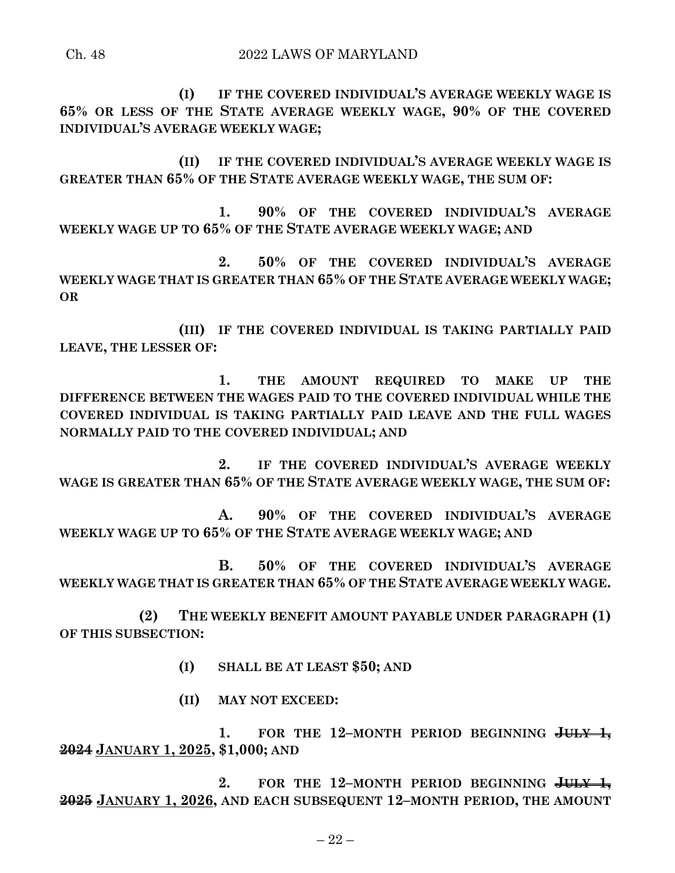**(I) IF THE COVERED INDIVIDUAL'S AVERAGE WEEKLY WAGE IS 65% OR LESS OF THE STATE AVERAGE WEEKLY WAGE, 90% OF THE COVERED INDIVIDUAL'S AVERAGE WEEKLY WAGE;**

**(II) IF THE COVERED INDIVIDUAL'S AVERAGE WEEKLY WAGE IS GREATER THAN 65% OF THE STATE AVERAGE WEEKLY WAGE, THE SUM OF:**

**1. 90% OF THE COVERED INDIVIDUAL'S AVERAGE WEEKLY WAGE UP TO 65% OF THE STATE AVERAGE WEEKLY WAGE; AND**

**2. 50% OF THE COVERED INDIVIDUAL'S AVERAGE WEEKLY WAGE THAT IS GREATER THAN 65% OF THE STATE AVERAGE WEEKLY WAGE; OR**

**(III) IF THE COVERED INDIVIDUAL IS TAKING PARTIALLY PAID LEAVE, THE LESSER OF:**

**1. THE AMOUNT REQUIRED TO MAKE UP THE DIFFERENCE BETWEEN THE WAGES PAID TO THE COVERED INDIVIDUAL WHILE THE COVERED INDIVIDUAL IS TAKING PARTIALLY PAID LEAVE AND THE FULL WAGES NORMALLY PAID TO THE COVERED INDIVIDUAL; AND**

**2. IF THE COVERED INDIVIDUAL'S AVERAGE WEEKLY WAGE IS GREATER THAN 65% OF THE STATE AVERAGE WEEKLY WAGE, THE SUM OF:**

**A. 90% OF THE COVERED INDIVIDUAL'S AVERAGE WEEKLY WAGE UP TO 65% OF THE STATE AVERAGE WEEKLY WAGE; AND**

**B. 50% OF THE COVERED INDIVIDUAL'S AVERAGE WEEKLY WAGE THAT IS GREATER THAN 65% OF THE STATE AVERAGE WEEKLY WAGE.**

**(2) THE WEEKLY BENEFIT AMOUNT PAYABLE UNDER PARAGRAPH (1) OF THIS SUBSECTION:**

**(I) SHALL BE AT LEAST \$50; AND**

**(II) MAY NOT EXCEED:**

**1. FOR THE 12–MONTH PERIOD BEGINNING JULY 1, 2024 JANUARY 1, 2025, \$1,000; AND**

**2. FOR THE 12–MONTH PERIOD BEGINNING JULY 1, 2025 JANUARY 1, 2026, AND EACH SUBSEQUENT 12–MONTH PERIOD, THE AMOUNT**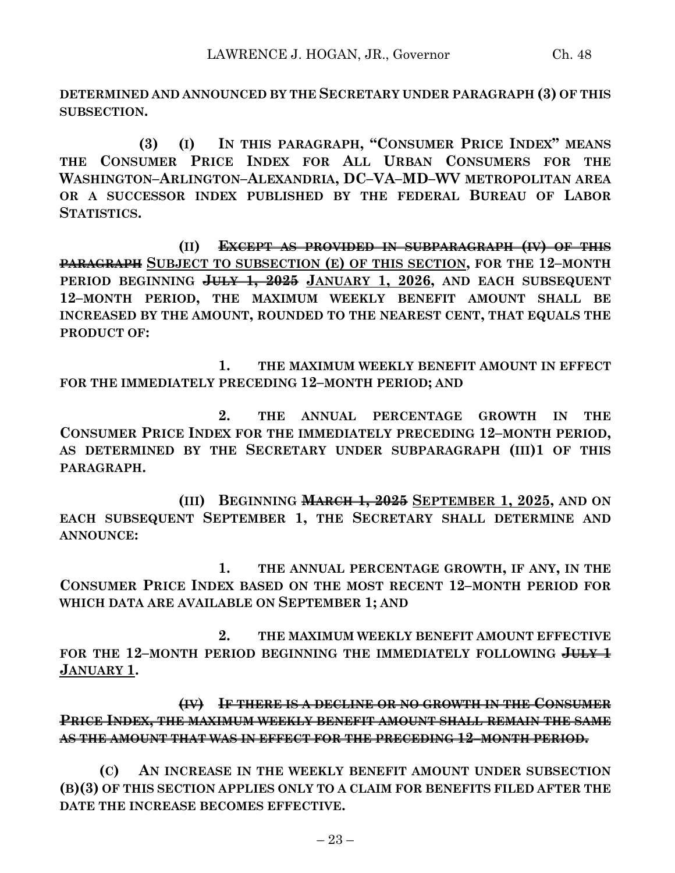**DETERMINED AND ANNOUNCED BY THE SECRETARY UNDER PARAGRAPH (3) OF THIS SUBSECTION.**

**(3) (I) IN THIS PARAGRAPH, "CONSUMER PRICE INDEX" MEANS THE CONSUMER PRICE INDEX FOR ALL URBAN CONSUMERS FOR THE WASHINGTON–ARLINGTON–ALEXANDRIA, DC–VA–MD–WV METROPOLITAN AREA OR A SUCCESSOR INDEX PUBLISHED BY THE FEDERAL BUREAU OF LABOR STATISTICS.**

**(II) EXCEPT AS PROVIDED IN SUBPARAGRAPH (IV) OF THIS PARAGRAPH SUBJECT TO SUBSECTION (E) OF THIS SECTION, FOR THE 12–MONTH PERIOD BEGINNING JULY 1, 2025 JANUARY 1, 2026, AND EACH SUBSEQUENT 12–MONTH PERIOD, THE MAXIMUM WEEKLY BENEFIT AMOUNT SHALL BE INCREASED BY THE AMOUNT, ROUNDED TO THE NEAREST CENT, THAT EQUALS THE PRODUCT OF:**

**1. THE MAXIMUM WEEKLY BENEFIT AMOUNT IN EFFECT FOR THE IMMEDIATELY PRECEDING 12–MONTH PERIOD; AND**

**2. THE ANNUAL PERCENTAGE GROWTH IN THE CONSUMER PRICE INDEX FOR THE IMMEDIATELY PRECEDING 12–MONTH PERIOD, AS DETERMINED BY THE SECRETARY UNDER SUBPARAGRAPH (III)1 OF THIS PARAGRAPH.**

**(III) BEGINNING MARCH 1, 2025 SEPTEMBER 1, 2025, AND ON EACH SUBSEQUENT SEPTEMBER 1, THE SECRETARY SHALL DETERMINE AND ANNOUNCE:**

**1. THE ANNUAL PERCENTAGE GROWTH, IF ANY, IN THE CONSUMER PRICE INDEX BASED ON THE MOST RECENT 12–MONTH PERIOD FOR WHICH DATA ARE AVAILABLE ON SEPTEMBER 1; AND**

**2. THE MAXIMUM WEEKLY BENEFIT AMOUNT EFFECTIVE FOR THE 12–MONTH PERIOD BEGINNING THE IMMEDIATELY FOLLOWING JULY 1 JANUARY 1.**

**(IV) IF THERE IS A DECLINE OR NO GROWTH IN THE CONSUMER PRICE INDEX, THE MAXIMUM WEEKLY BENEFIT AMOUNT SHALL REMAIN THE SAME AS THE AMOUNT THAT WAS IN EFFECT FOR THE PRECEDING 12–MONTH PERIOD.**

**(C) AN INCREASE IN THE WEEKLY BENEFIT AMOUNT UNDER SUBSECTION (B)(3) OF THIS SECTION APPLIES ONLY TO A CLAIM FOR BENEFITS FILED AFTER THE DATE THE INCREASE BECOMES EFFECTIVE.**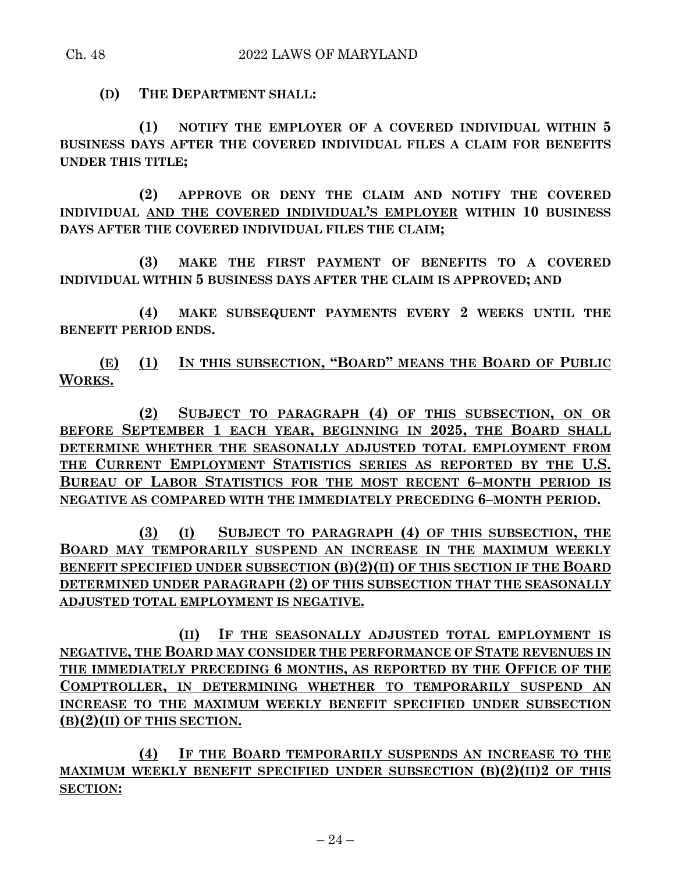### Ch. 48 2022 LAWS OF MARYLAND

**(D) THE DEPARTMENT SHALL:**

**(1) NOTIFY THE EMPLOYER OF A COVERED INDIVIDUAL WITHIN 5 BUSINESS DAYS AFTER THE COVERED INDIVIDUAL FILES A CLAIM FOR BENEFITS UNDER THIS TITLE;**

**(2) APPROVE OR DENY THE CLAIM AND NOTIFY THE COVERED INDIVIDUAL AND THE COVERED INDIVIDUAL'S EMPLOYER WITHIN 10 BUSINESS DAYS AFTER THE COVERED INDIVIDUAL FILES THE CLAIM;**

**(3) MAKE THE FIRST PAYMENT OF BENEFITS TO A COVERED INDIVIDUAL WITHIN 5 BUSINESS DAYS AFTER THE CLAIM IS APPROVED; AND**

**(4) MAKE SUBSEQUENT PAYMENTS EVERY 2 WEEKS UNTIL THE BENEFIT PERIOD ENDS.**

**(E) (1) IN THIS SUBSECTION, "BOARD" MEANS THE BOARD OF PUBLIC WORKS.**

**(2) SUBJECT TO PARAGRAPH (4) OF THIS SUBSECTION, ON OR BEFORE SEPTEMBER 1 EACH YEAR, BEGINNING IN 2025, THE BOARD SHALL DETERMINE WHETHER THE SEASONALLY ADJUSTED TOTAL EMPLOYMENT FROM THE CURRENT EMPLOYMENT STATISTICS SERIES AS REPORTED BY THE U.S. BUREAU OF LABOR STATISTICS FOR THE MOST RECENT 6–MONTH PERIOD IS NEGATIVE AS COMPARED WITH THE IMMEDIATELY PRECEDING 6–MONTH PERIOD.**

**(3) (I) SUBJECT TO PARAGRAPH (4) OF THIS SUBSECTION, THE BOARD MAY TEMPORARILY SUSPEND AN INCREASE IN THE MAXIMUM WEEKLY BENEFIT SPECIFIED UNDER SUBSECTION (B)(2)(II) OF THIS SECTION IF THE BOARD DETERMINED UNDER PARAGRAPH (2) OF THIS SUBSECTION THAT THE SEASONALLY ADJUSTED TOTAL EMPLOYMENT IS NEGATIVE.**

**(II) IF THE SEASONALLY ADJUSTED TOTAL EMPLOYMENT IS NEGATIVE, THE BOARD MAY CONSIDER THE PERFORMANCE OF STATE REVENUES IN THE IMMEDIATELY PRECEDING 6 MONTHS, AS REPORTED BY THE OFFICE OF THE COMPTROLLER, IN DETERMINING WHETHER TO TEMPORARILY SUSPEND AN INCREASE TO THE MAXIMUM WEEKLY BENEFIT SPECIFIED UNDER SUBSECTION (B)(2)(II) OF THIS SECTION.**

**(4) IF THE BOARD TEMPORARILY SUSPENDS AN INCREASE TO THE MAXIMUM WEEKLY BENEFIT SPECIFIED UNDER SUBSECTION (B)(2)(II)2 OF THIS SECTION:**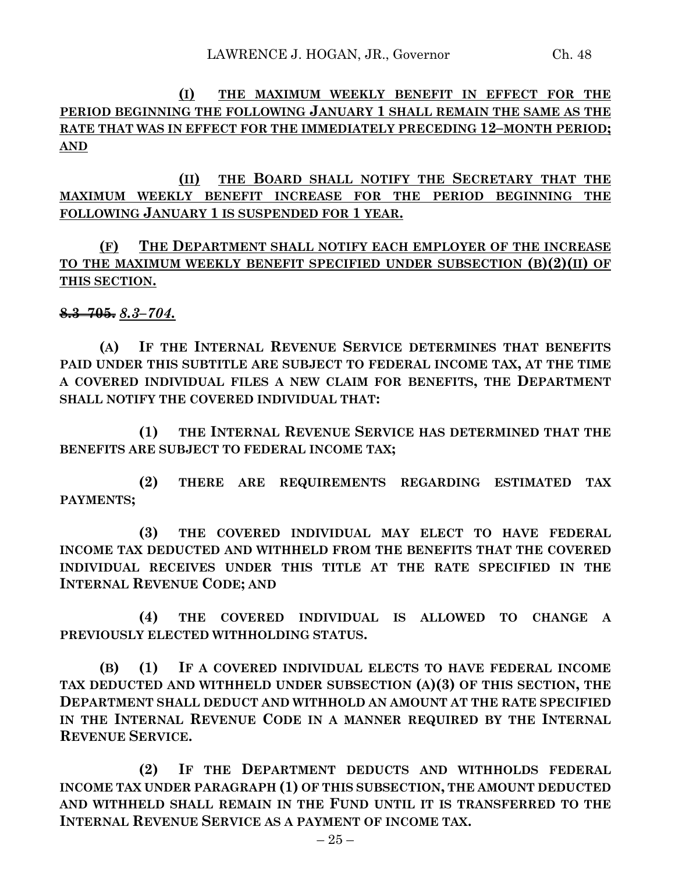**(I) THE MAXIMUM WEEKLY BENEFIT IN EFFECT FOR THE PERIOD BEGINNING THE FOLLOWING JANUARY 1 SHALL REMAIN THE SAME AS THE RATE THAT WAS IN EFFECT FOR THE IMMEDIATELY PRECEDING 12–MONTH PERIOD; AND**

**(II) THE BOARD SHALL NOTIFY THE SECRETARY THAT THE MAXIMUM WEEKLY BENEFIT INCREASE FOR THE PERIOD BEGINNING THE FOLLOWING JANUARY 1 IS SUSPENDED FOR 1 YEAR.**

**(F) THE DEPARTMENT SHALL NOTIFY EACH EMPLOYER OF THE INCREASE TO THE MAXIMUM WEEKLY BENEFIT SPECIFIED UNDER SUBSECTION (B)(2)(II) OF THIS SECTION.**

**8.3–705.** *8.3–704.*

**(A) IF THE INTERNAL REVENUE SERVICE DETERMINES THAT BENEFITS PAID UNDER THIS SUBTITLE ARE SUBJECT TO FEDERAL INCOME TAX, AT THE TIME A COVERED INDIVIDUAL FILES A NEW CLAIM FOR BENEFITS, THE DEPARTMENT SHALL NOTIFY THE COVERED INDIVIDUAL THAT:**

**(1) THE INTERNAL REVENUE SERVICE HAS DETERMINED THAT THE BENEFITS ARE SUBJECT TO FEDERAL INCOME TAX;**

**(2) THERE ARE REQUIREMENTS REGARDING ESTIMATED TAX PAYMENTS;**

**(3) THE COVERED INDIVIDUAL MAY ELECT TO HAVE FEDERAL INCOME TAX DEDUCTED AND WITHHELD FROM THE BENEFITS THAT THE COVERED INDIVIDUAL RECEIVES UNDER THIS TITLE AT THE RATE SPECIFIED IN THE INTERNAL REVENUE CODE; AND**

**(4) THE COVERED INDIVIDUAL IS ALLOWED TO CHANGE A PREVIOUSLY ELECTED WITHHOLDING STATUS.**

**(B) (1) IF A COVERED INDIVIDUAL ELECTS TO HAVE FEDERAL INCOME TAX DEDUCTED AND WITHHELD UNDER SUBSECTION (A)(3) OF THIS SECTION, THE DEPARTMENT SHALL DEDUCT AND WITHHOLD AN AMOUNT AT THE RATE SPECIFIED IN THE INTERNAL REVENUE CODE IN A MANNER REQUIRED BY THE INTERNAL REVENUE SERVICE.**

**(2) IF THE DEPARTMENT DEDUCTS AND WITHHOLDS FEDERAL INCOME TAX UNDER PARAGRAPH (1) OF THIS SUBSECTION, THE AMOUNT DEDUCTED AND WITHHELD SHALL REMAIN IN THE FUND UNTIL IT IS TRANSFERRED TO THE INTERNAL REVENUE SERVICE AS A PAYMENT OF INCOME TAX.**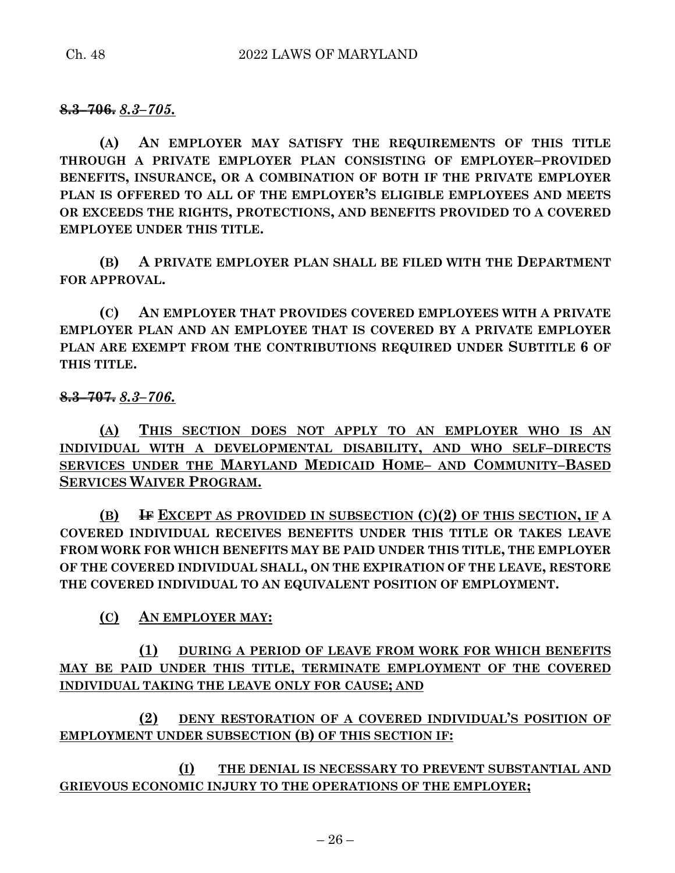**8.3–706.** *8.3–705.*

**(A) AN EMPLOYER MAY SATISFY THE REQUIREMENTS OF THIS TITLE THROUGH A PRIVATE EMPLOYER PLAN CONSISTING OF EMPLOYER–PROVIDED BENEFITS, INSURANCE, OR A COMBINATION OF BOTH IF THE PRIVATE EMPLOYER PLAN IS OFFERED TO ALL OF THE EMPLOYER'S ELIGIBLE EMPLOYEES AND MEETS OR EXCEEDS THE RIGHTS, PROTECTIONS, AND BENEFITS PROVIDED TO A COVERED EMPLOYEE UNDER THIS TITLE.**

**(B) A PRIVATE EMPLOYER PLAN SHALL BE FILED WITH THE DEPARTMENT FOR APPROVAL.**

**(C) AN EMPLOYER THAT PROVIDES COVERED EMPLOYEES WITH A PRIVATE EMPLOYER PLAN AND AN EMPLOYEE THAT IS COVERED BY A PRIVATE EMPLOYER PLAN ARE EXEMPT FROM THE CONTRIBUTIONS REQUIRED UNDER SUBTITLE 6 OF THIS TITLE.**

**8.3–707.** *8.3–706.*

**(A) THIS SECTION DOES NOT APPLY TO AN EMPLOYER WHO IS AN INDIVIDUAL WITH A DEVELOPMENTAL DISABILITY, AND WHO SELF–DIRECTS SERVICES UNDER THE MARYLAND MEDICAID HOME– AND COMMUNITY–BASED SERVICES WAIVER PROGRAM.**

**(B) IF EXCEPT AS PROVIDED IN SUBSECTION (C)(2) OF THIS SECTION, IF A COVERED INDIVIDUAL RECEIVES BENEFITS UNDER THIS TITLE OR TAKES LEAVE FROM WORK FOR WHICH BENEFITS MAY BE PAID UNDER THIS TITLE, THE EMPLOYER OF THE COVERED INDIVIDUAL SHALL, ON THE EXPIRATION OF THE LEAVE, RESTORE THE COVERED INDIVIDUAL TO AN EQUIVALENT POSITION OF EMPLOYMENT.**

**(C) AN EMPLOYER MAY:**

**(1) DURING A PERIOD OF LEAVE FROM WORK FOR WHICH BENEFITS MAY BE PAID UNDER THIS TITLE, TERMINATE EMPLOYMENT OF THE COVERED INDIVIDUAL TAKING THE LEAVE ONLY FOR CAUSE; AND**

**(2) DENY RESTORATION OF A COVERED INDIVIDUAL'S POSITION OF EMPLOYMENT UNDER SUBSECTION (B) OF THIS SECTION IF:**

**(I) THE DENIAL IS NECESSARY TO PREVENT SUBSTANTIAL AND GRIEVOUS ECONOMIC INJURY TO THE OPERATIONS OF THE EMPLOYER;**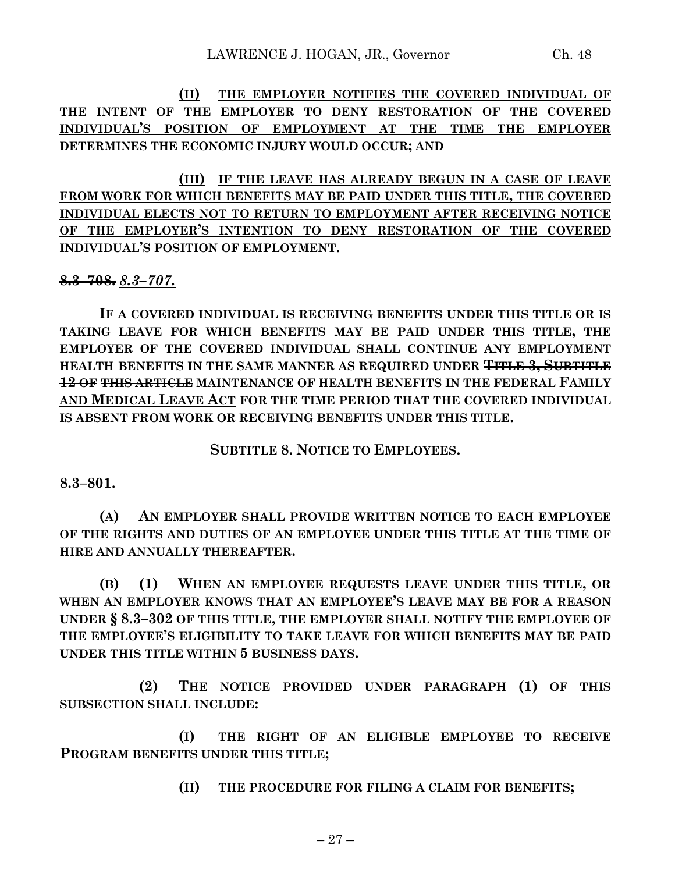**(II) THE EMPLOYER NOTIFIES THE COVERED INDIVIDUAL OF THE INTENT OF THE EMPLOYER TO DENY RESTORATION OF THE COVERED INDIVIDUAL'S POSITION OF EMPLOYMENT AT THE TIME THE EMPLOYER DETERMINES THE ECONOMIC INJURY WOULD OCCUR; AND**

**(III) IF THE LEAVE HAS ALREADY BEGUN IN A CASE OF LEAVE FROM WORK FOR WHICH BENEFITS MAY BE PAID UNDER THIS TITLE, THE COVERED INDIVIDUAL ELECTS NOT TO RETURN TO EMPLOYMENT AFTER RECEIVING NOTICE OF THE EMPLOYER'S INTENTION TO DENY RESTORATION OF THE COVERED INDIVIDUAL'S POSITION OF EMPLOYMENT.**

**8.3–708.** *8.3–707.*

**IF A COVERED INDIVIDUAL IS RECEIVING BENEFITS UNDER THIS TITLE OR IS TAKING LEAVE FOR WHICH BENEFITS MAY BE PAID UNDER THIS TITLE, THE EMPLOYER OF THE COVERED INDIVIDUAL SHALL CONTINUE ANY EMPLOYMENT HEALTH BENEFITS IN THE SAME MANNER AS REQUIRED UNDER TITLE 3, SUBTITLE 12 OF THIS ARTICLE MAINTENANCE OF HEALTH BENEFITS IN THE FEDERAL FAMILY AND MEDICAL LEAVE ACT FOR THE TIME PERIOD THAT THE COVERED INDIVIDUAL IS ABSENT FROM WORK OR RECEIVING BENEFITS UNDER THIS TITLE.**

**SUBTITLE 8. NOTICE TO EMPLOYEES.**

**8.3–801.**

**(A) AN EMPLOYER SHALL PROVIDE WRITTEN NOTICE TO EACH EMPLOYEE OF THE RIGHTS AND DUTIES OF AN EMPLOYEE UNDER THIS TITLE AT THE TIME OF HIRE AND ANNUALLY THEREAFTER.**

**(B) (1) WHEN AN EMPLOYEE REQUESTS LEAVE UNDER THIS TITLE, OR WHEN AN EMPLOYER KNOWS THAT AN EMPLOYEE'S LEAVE MAY BE FOR A REASON UNDER § 8.3–302 OF THIS TITLE, THE EMPLOYER SHALL NOTIFY THE EMPLOYEE OF THE EMPLOYEE'S ELIGIBILITY TO TAKE LEAVE FOR WHICH BENEFITS MAY BE PAID UNDER THIS TITLE WITHIN 5 BUSINESS DAYS.**

**(2) THE NOTICE PROVIDED UNDER PARAGRAPH (1) OF THIS SUBSECTION SHALL INCLUDE:**

**(I) THE RIGHT OF AN ELIGIBLE EMPLOYEE TO RECEIVE PROGRAM BENEFITS UNDER THIS TITLE;**

**(II) THE PROCEDURE FOR FILING A CLAIM FOR BENEFITS;**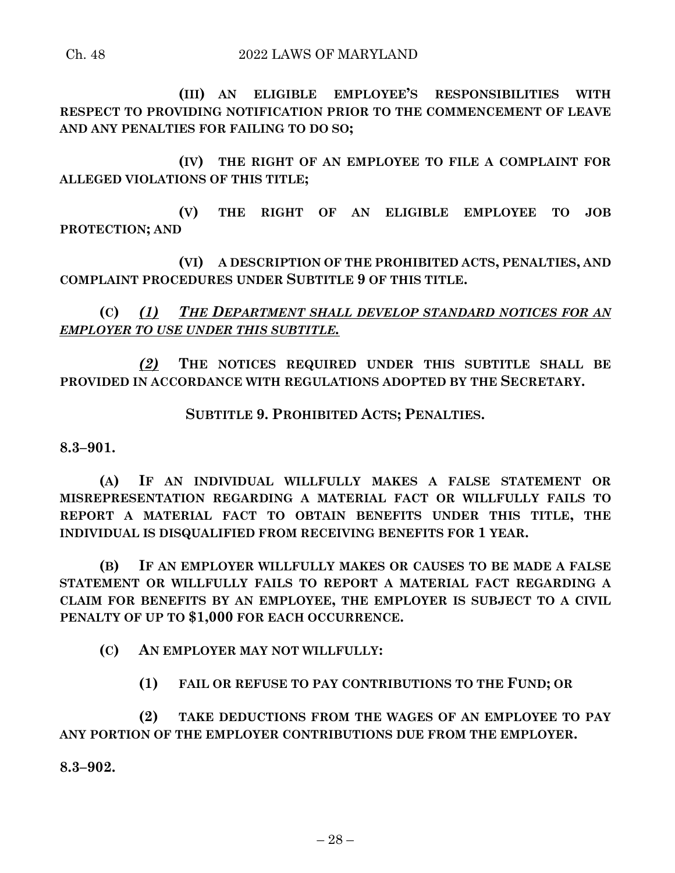**(III) AN ELIGIBLE EMPLOYEE'S RESPONSIBILITIES WITH RESPECT TO PROVIDING NOTIFICATION PRIOR TO THE COMMENCEMENT OF LEAVE AND ANY PENALTIES FOR FAILING TO DO SO;**

**(IV) THE RIGHT OF AN EMPLOYEE TO FILE A COMPLAINT FOR ALLEGED VIOLATIONS OF THIS TITLE;**

**(V) THE RIGHT OF AN ELIGIBLE EMPLOYEE TO JOB PROTECTION; AND**

**(VI) A DESCRIPTION OF THE PROHIBITED ACTS, PENALTIES, AND COMPLAINT PROCEDURES UNDER SUBTITLE 9 OF THIS TITLE.**

**(C)** *(1) THE DEPARTMENT SHALL DEVELOP STANDARD NOTICES FOR AN EMPLOYER TO USE UNDER THIS SUBTITLE.*

*(2)* **THE NOTICES REQUIRED UNDER THIS SUBTITLE SHALL BE PROVIDED IN ACCORDANCE WITH REGULATIONS ADOPTED BY THE SECRETARY.**

**SUBTITLE 9. PROHIBITED ACTS; PENALTIES.**

**8.3–901.**

**(A) IF AN INDIVIDUAL WILLFULLY MAKES A FALSE STATEMENT OR MISREPRESENTATION REGARDING A MATERIAL FACT OR WILLFULLY FAILS TO REPORT A MATERIAL FACT TO OBTAIN BENEFITS UNDER THIS TITLE, THE INDIVIDUAL IS DISQUALIFIED FROM RECEIVING BENEFITS FOR 1 YEAR.**

**(B) IF AN EMPLOYER WILLFULLY MAKES OR CAUSES TO BE MADE A FALSE STATEMENT OR WILLFULLY FAILS TO REPORT A MATERIAL FACT REGARDING A CLAIM FOR BENEFITS BY AN EMPLOYEE, THE EMPLOYER IS SUBJECT TO A CIVIL PENALTY OF UP TO \$1,000 FOR EACH OCCURRENCE.**

**(C) AN EMPLOYER MAY NOT WILLFULLY:**

**(1) FAIL OR REFUSE TO PAY CONTRIBUTIONS TO THE FUND; OR** 

**(2) TAKE DEDUCTIONS FROM THE WAGES OF AN EMPLOYEE TO PAY ANY PORTION OF THE EMPLOYER CONTRIBUTIONS DUE FROM THE EMPLOYER.**

**8.3–902.**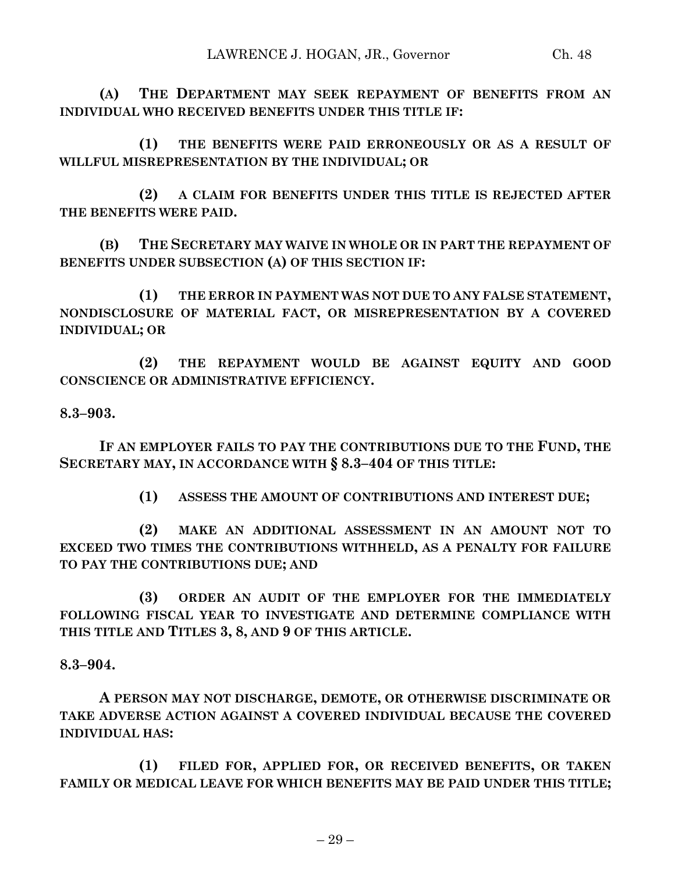**(A) THE DEPARTMENT MAY SEEK REPAYMENT OF BENEFITS FROM AN INDIVIDUAL WHO RECEIVED BENEFITS UNDER THIS TITLE IF:**

**(1) THE BENEFITS WERE PAID ERRONEOUSLY OR AS A RESULT OF WILLFUL MISREPRESENTATION BY THE INDIVIDUAL; OR**

**(2) A CLAIM FOR BENEFITS UNDER THIS TITLE IS REJECTED AFTER THE BENEFITS WERE PAID.**

**(B) THE SECRETARY MAY WAIVE IN WHOLE OR IN PART THE REPAYMENT OF BENEFITS UNDER SUBSECTION (A) OF THIS SECTION IF:**

**(1) THE ERROR IN PAYMENT WAS NOT DUE TO ANY FALSE STATEMENT, NONDISCLOSURE OF MATERIAL FACT, OR MISREPRESENTATION BY A COVERED INDIVIDUAL; OR**

**(2) THE REPAYMENT WOULD BE AGAINST EQUITY AND GOOD CONSCIENCE OR ADMINISTRATIVE EFFICIENCY.**

## **8.3–903.**

**IF AN EMPLOYER FAILS TO PAY THE CONTRIBUTIONS DUE TO THE FUND, THE SECRETARY MAY, IN ACCORDANCE WITH § 8.3–404 OF THIS TITLE:**

**(1) ASSESS THE AMOUNT OF CONTRIBUTIONS AND INTEREST DUE;**

**(2) MAKE AN ADDITIONAL ASSESSMENT IN AN AMOUNT NOT TO EXCEED TWO TIMES THE CONTRIBUTIONS WITHHELD, AS A PENALTY FOR FAILURE TO PAY THE CONTRIBUTIONS DUE; AND**

**(3) ORDER AN AUDIT OF THE EMPLOYER FOR THE IMMEDIATELY FOLLOWING FISCAL YEAR TO INVESTIGATE AND DETERMINE COMPLIANCE WITH THIS TITLE AND TITLES 3, 8, AND 9 OF THIS ARTICLE.**

## **8.3–904.**

**A PERSON MAY NOT DISCHARGE, DEMOTE, OR OTHERWISE DISCRIMINATE OR TAKE ADVERSE ACTION AGAINST A COVERED INDIVIDUAL BECAUSE THE COVERED INDIVIDUAL HAS:**

**(1) FILED FOR, APPLIED FOR, OR RECEIVED BENEFITS, OR TAKEN FAMILY OR MEDICAL LEAVE FOR WHICH BENEFITS MAY BE PAID UNDER THIS TITLE;**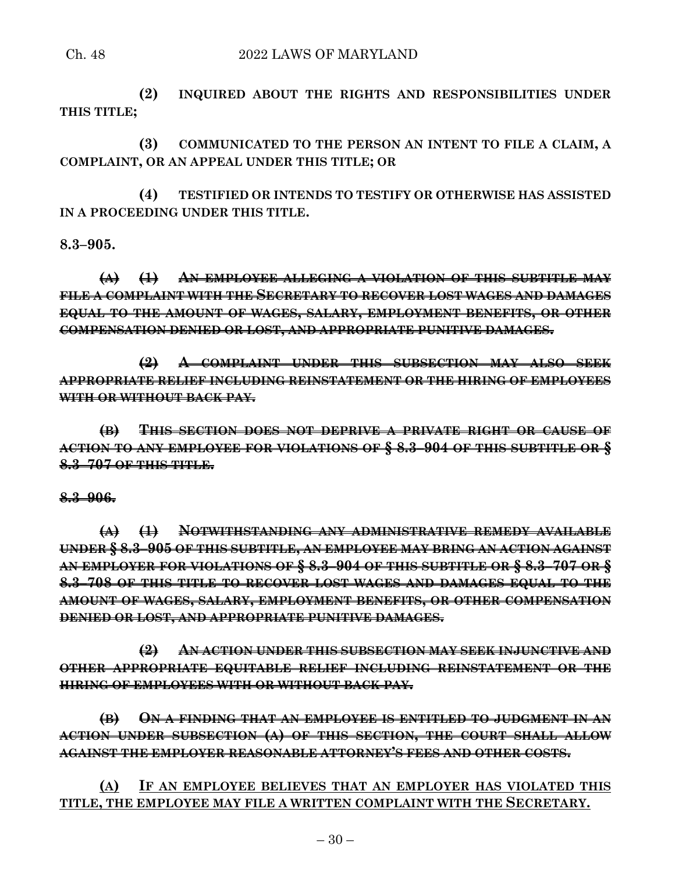## Ch. 48 2022 LAWS OF MARYLAND

**(2) INQUIRED ABOUT THE RIGHTS AND RESPONSIBILITIES UNDER THIS TITLE;**

**(3) COMMUNICATED TO THE PERSON AN INTENT TO FILE A CLAIM, A COMPLAINT, OR AN APPEAL UNDER THIS TITLE; OR**

**(4) TESTIFIED OR INTENDS TO TESTIFY OR OTHERWISE HAS ASSISTED IN A PROCEEDING UNDER THIS TITLE.**

## **8.3–905.**

**(A) (1) AN EMPLOYEE ALLEGING A VIOLATION OF THIS SUBTITLE MAY FILE A COMPLAINT WITH THE SECRETARY TO RECOVER LOST WAGES AND DAMAGES EQUAL TO THE AMOUNT OF WAGES, SALARY, EMPLOYMENT BENEFITS, OR OTHER COMPENSATION DENIED OR LOST, AND APPROPRIATE PUNITIVE DAMAGES.**

**(2) A COMPLAINT UNDER THIS SUBSECTION MAY ALSO SEEK APPROPRIATE RELIEF INCLUDING REINSTATEMENT OR THE HIRING OF EMPLOYEES WITH OR WITHOUT BACK PAY.**

**(B) THIS SECTION DOES NOT DEPRIVE A PRIVATE RIGHT OR CAUSE OF ACTION TO ANY EMPLOYEE FOR VIOLATIONS OF § 8.3–904 OF THIS SUBTITLE OR § 8.3–707 OF THIS TITLE.**

## **8.3–906.**

**(A) (1) NOTWITHSTANDING ANY ADMINISTRATIVE REMEDY AVAILABLE UNDER § 8.3–905 OF THIS SUBTITLE, AN EMPLOYEE MAY BRING AN ACTION AGAINST AN EMPLOYER FOR VIOLATIONS OF § 8.3–904 OF THIS SUBTITLE OR § 8.3–707 OR § 8.3–708 OF THIS TITLE TO RECOVER LOST WAGES AND DAMAGES EQUAL TO THE AMOUNT OF WAGES, SALARY, EMPLOYMENT BENEFITS, OR OTHER COMPENSATION DENIED OR LOST, AND APPROPRIATE PUNITIVE DAMAGES.**

**(2) AN ACTION UNDER THIS SUBSECTION MAY SEEK INJUNCTIVE AND OTHER APPROPRIATE EQUITABLE RELIEF INCLUDING REINSTATEMENT OR THE HIRING OF EMPLOYEES WITH OR WITHOUT BACK PAY.**

**(B) ON A FINDING THAT AN EMPLOYEE IS ENTITLED TO JUDGMENT IN AN ACTION UNDER SUBSECTION (A) OF THIS SECTION, THE COURT SHALL ALLOW AGAINST THE EMPLOYER REASONABLE ATTORNEY'S FEES AND OTHER COSTS.**

**(A) IF AN EMPLOYEE BELIEVES THAT AN EMPLOYER HAS VIOLATED THIS TITLE, THE EMPLOYEE MAY FILE A WRITTEN COMPLAINT WITH THE SECRETARY.**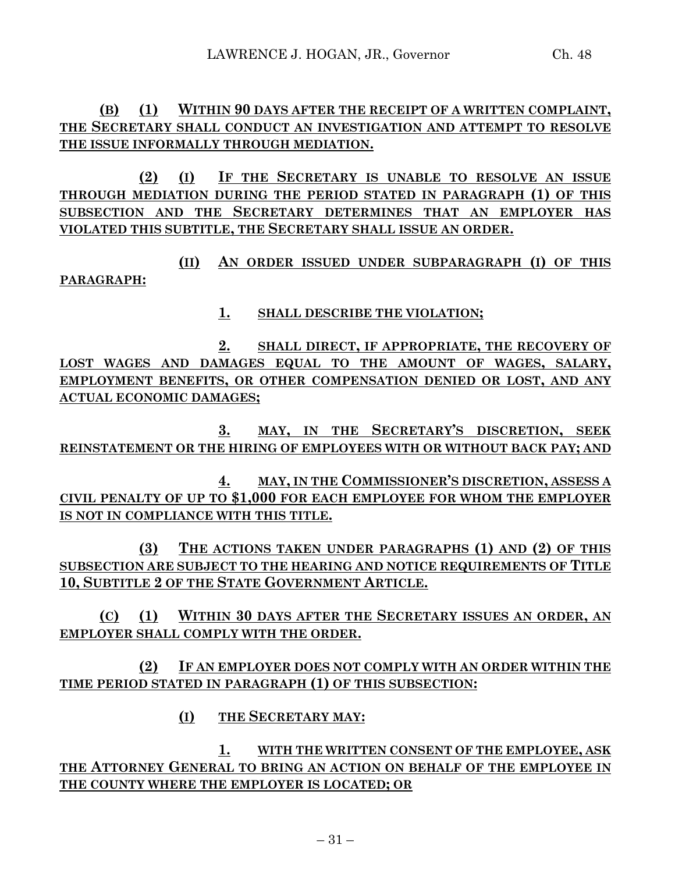## **(B) (1) WITHIN 90 DAYS AFTER THE RECEIPT OF A WRITTEN COMPLAINT, THE SECRETARY SHALL CONDUCT AN INVESTIGATION AND ATTEMPT TO RESOLVE THE ISSUE INFORMALLY THROUGH MEDIATION.**

**(2) (I) IF THE SECRETARY IS UNABLE TO RESOLVE AN ISSUE THROUGH MEDIATION DURING THE PERIOD STATED IN PARAGRAPH (1) OF THIS SUBSECTION AND THE SECRETARY DETERMINES THAT AN EMPLOYER HAS VIOLATED THIS SUBTITLE, THE SECRETARY SHALL ISSUE AN ORDER.**

**(II) AN ORDER ISSUED UNDER SUBPARAGRAPH (I) OF THIS PARAGRAPH:**

**1. SHALL DESCRIBE THE VIOLATION;**

**2. SHALL DIRECT, IF APPROPRIATE, THE RECOVERY OF LOST WAGES AND DAMAGES EQUAL TO THE AMOUNT OF WAGES, SALARY, EMPLOYMENT BENEFITS, OR OTHER COMPENSATION DENIED OR LOST, AND ANY ACTUAL ECONOMIC DAMAGES;**

**3. MAY, IN THE SECRETARY'S DISCRETION, SEEK REINSTATEMENT OR THE HIRING OF EMPLOYEES WITH OR WITHOUT BACK PAY; AND**

**4. MAY, IN THE COMMISSIONER'S DISCRETION, ASSESS A CIVIL PENALTY OF UP TO \$1,000 FOR EACH EMPLOYEE FOR WHOM THE EMPLOYER IS NOT IN COMPLIANCE WITH THIS TITLE.**

**(3) THE ACTIONS TAKEN UNDER PARAGRAPHS (1) AND (2) OF THIS SUBSECTION ARE SUBJECT TO THE HEARING AND NOTICE REQUIREMENTS OF TITLE 10, SUBTITLE 2 OF THE STATE GOVERNMENT ARTICLE.**

**(C) (1) WITHIN 30 DAYS AFTER THE SECRETARY ISSUES AN ORDER, AN EMPLOYER SHALL COMPLY WITH THE ORDER.**

**(2) IF AN EMPLOYER DOES NOT COMPLY WITH AN ORDER WITHIN THE TIME PERIOD STATED IN PARAGRAPH (1) OF THIS SUBSECTION:**

**(I) THE SECRETARY MAY:**

**1. WITH THE WRITTEN CONSENT OF THE EMPLOYEE, ASK THE ATTORNEY GENERAL TO BRING AN ACTION ON BEHALF OF THE EMPLOYEE IN THE COUNTY WHERE THE EMPLOYER IS LOCATED; OR**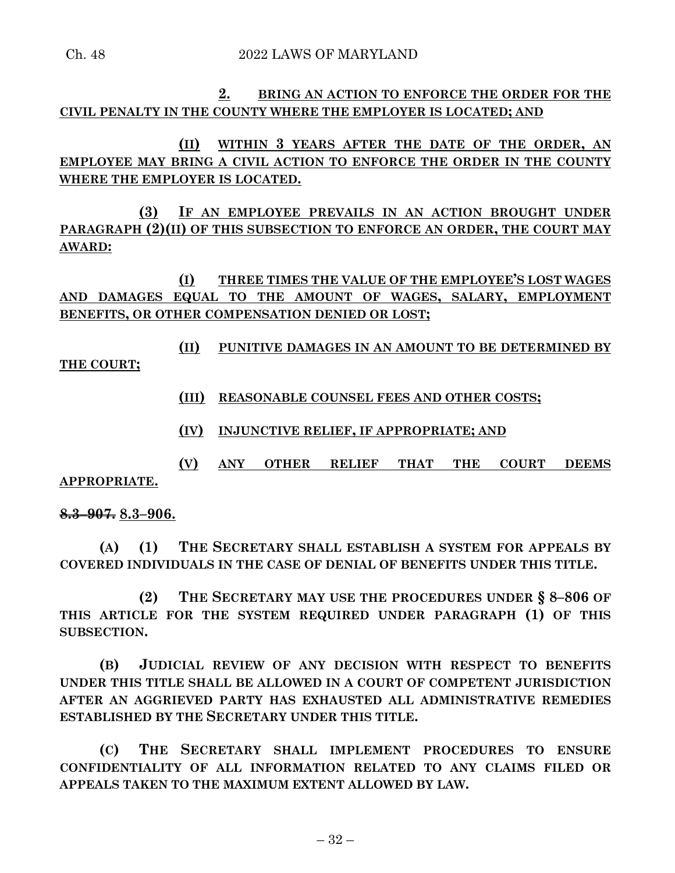## **2. BRING AN ACTION TO ENFORCE THE ORDER FOR THE CIVIL PENALTY IN THE COUNTY WHERE THE EMPLOYER IS LOCATED; AND**

# **(II) WITHIN 3 YEARS AFTER THE DATE OF THE ORDER, AN EMPLOYEE MAY BRING A CIVIL ACTION TO ENFORCE THE ORDER IN THE COUNTY WHERE THE EMPLOYER IS LOCATED.**

**(3) IF AN EMPLOYEE PREVAILS IN AN ACTION BROUGHT UNDER PARAGRAPH (2)(II) OF THIS SUBSECTION TO ENFORCE AN ORDER, THE COURT MAY AWARD:**

## **(I) THREE TIMES THE VALUE OF THE EMPLOYEE'S LOST WAGES AND DAMAGES EQUAL TO THE AMOUNT OF WAGES, SALARY, EMPLOYMENT BENEFITS, OR OTHER COMPENSATION DENIED OR LOST;**

# **(II) PUNITIVE DAMAGES IN AN AMOUNT TO BE DETERMINED BY**

**THE COURT;**

- **(III) REASONABLE COUNSEL FEES AND OTHER COSTS;**
- **(IV) INJUNCTIVE RELIEF, IF APPROPRIATE; AND**
- **(V) ANY OTHER RELIEF THAT THE COURT DEEMS**

## **APPROPRIATE.**

## **8.3–907. 8.3–906.**

**(A) (1) THE SECRETARY SHALL ESTABLISH A SYSTEM FOR APPEALS BY COVERED INDIVIDUALS IN THE CASE OF DENIAL OF BENEFITS UNDER THIS TITLE.**

**(2) THE SECRETARY MAY USE THE PROCEDURES UNDER § 8–806 OF THIS ARTICLE FOR THE SYSTEM REQUIRED UNDER PARAGRAPH (1) OF THIS SUBSECTION.**

**(B) JUDICIAL REVIEW OF ANY DECISION WITH RESPECT TO BENEFITS UNDER THIS TITLE SHALL BE ALLOWED IN A COURT OF COMPETENT JURISDICTION AFTER AN AGGRIEVED PARTY HAS EXHAUSTED ALL ADMINISTRATIVE REMEDIES ESTABLISHED BY THE SECRETARY UNDER THIS TITLE.**

**(C) THE SECRETARY SHALL IMPLEMENT PROCEDURES TO ENSURE CONFIDENTIALITY OF ALL INFORMATION RELATED TO ANY CLAIMS FILED OR APPEALS TAKEN TO THE MAXIMUM EXTENT ALLOWED BY LAW.**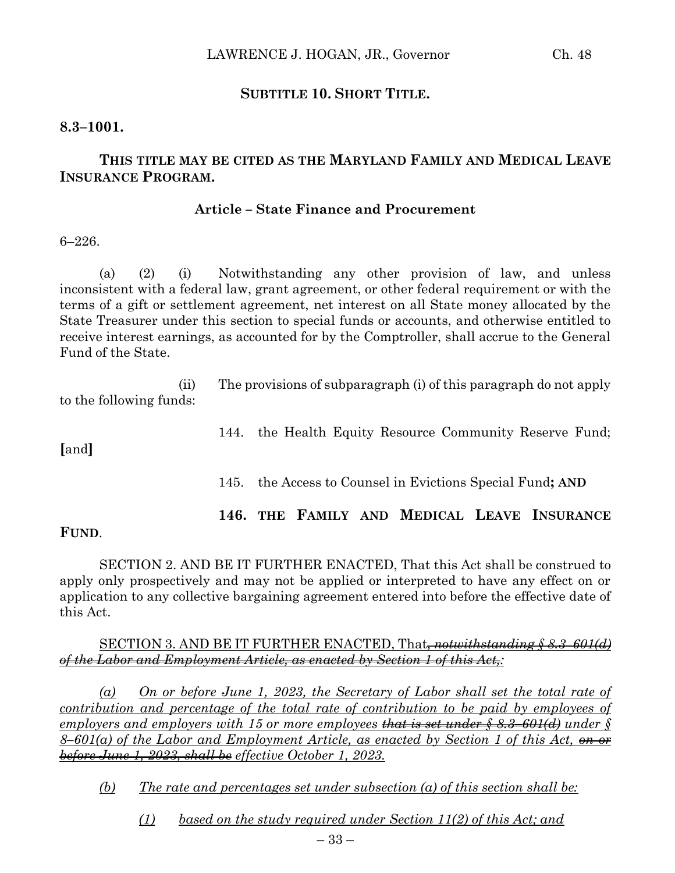## **SUBTITLE 10. SHORT TITLE.**

### **8.3–1001.**

# **THIS TITLE MAY BE CITED AS THE MARYLAND FAMILY AND MEDICAL LEAVE INSURANCE PROGRAM.**

#### **Article – State Finance and Procurement**

6–226.

(a) (2) (i) Notwithstanding any other provision of law, and unless inconsistent with a federal law, grant agreement, or other federal requirement or with the terms of a gift or settlement agreement, net interest on all State money allocated by the State Treasurer under this section to special funds or accounts, and otherwise entitled to receive interest earnings, as accounted for by the Comptroller, shall accrue to the General Fund of the State.

(ii) The provisions of subparagraph (i) of this paragraph do not apply to the following funds:

144. the Health Equity Resource Community Reserve Fund;

**[**and**]**

145. the Access to Counsel in Evictions Special Fund**; AND**

**146. THE FAMILY AND MEDICAL LEAVE INSURANCE** 

**FUND**.

SECTION 2. AND BE IT FURTHER ENACTED, That this Act shall be construed to apply only prospectively and may not be applied or interpreted to have any effect on or application to any collective bargaining agreement entered into before the effective date of this Act.

#### SECTION 3. AND BE IT FURTHER ENACTED, That*, notwithstanding § 8.3–601(d) of the Labor and Employment Article, as enacted by Section 1 of this Act,:*

*(a) On or before June 1, 2023, the Secretary of Labor shall set the total rate of contribution and percentage of the total rate of contribution to be paid by employees of employers and employers with 15 or more employees that is set under § 8.3–601(d) under § 8–601(a) of the Labor and Employment Article, as enacted by Section 1 of this Act, on or before June 1, 2023, shall be effective October 1, 2023.*

*(b) The rate and percentages set under subsection (a) of this section shall be:*

*(1) based on the study required under Section 11(2) of this Act; and*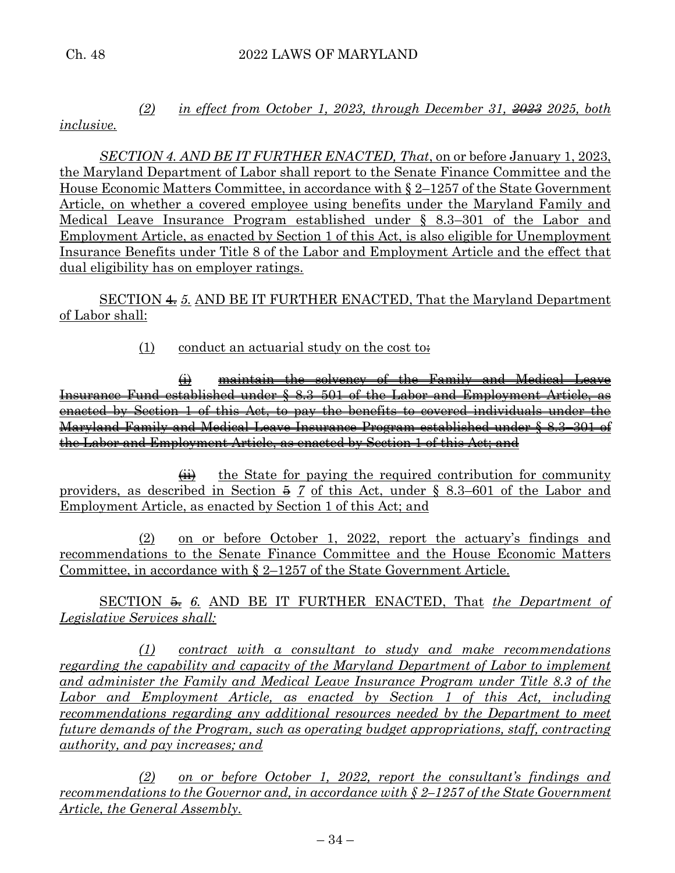## *(2) in effect from October 1, 2023, through December 31, 2023 2025, both inclusive.*

*SECTION 4. AND BE IT FURTHER ENACTED, That*, on or before January 1, 2023, the Maryland Department of Labor shall report to the Senate Finance Committee and the House Economic Matters Committee, in accordance with § 2–1257 of the State Government Article, on whether a covered employee using benefits under the Maryland Family and Medical Leave Insurance Program established under § 8.3–301 of the Labor and Employment Article, as enacted by Section 1 of this Act, is also eligible for Unemployment Insurance Benefits under Title 8 of the Labor and Employment Article and the effect that dual eligibility has on employer ratings.

SECTION 4. *5.* AND BE IT FURTHER ENACTED, That the Maryland Department of Labor shall:

(1) conduct an actuarial study on the cost to:

(i) maintain the solvency of the Family and Medical Leave Insurance Fund established under § 8.3–501 of the Labor and Employment Article, as enacted by Section 1 of this Act, to pay the benefits to covered individuals under the Maryland Family and Medical Leave Insurance Program established under § 8.3–301 of the Labor and Employment Article, as enacted by Section 1 of this Act; and

 $\overrightarrow{H}$  the State for paying the required contribution for community providers, as described in Section  $\frac{5}{7}$  of this Act, under § 8.3–601 of the Labor and Employment Article, as enacted by Section 1 of this Act; and

(2) on or before October 1, 2022, report the actuary's findings and recommendations to the Senate Finance Committee and the House Economic Matters Committee, in accordance with § 2–1257 of the State Government Article.

SECTION 5. *6.* AND BE IT FURTHER ENACTED, That *the Department of Legislative Services shall:*

*(1) contract with a consultant to study and make recommendations regarding the capability and capacity of the Maryland Department of Labor to implement and administer the Family and Medical Leave Insurance Program under Title 8.3 of the Labor and Employment Article, as enacted by Section 1 of this Act, including recommendations regarding any additional resources needed by the Department to meet future demands of the Program, such as operating budget appropriations, staff, contracting authority, and pay increases; and*

*(2) on or before October 1, 2022, report the consultant's findings and recommendations to the Governor and, in accordance with § 2–1257 of the State Government Article, the General Assembly.*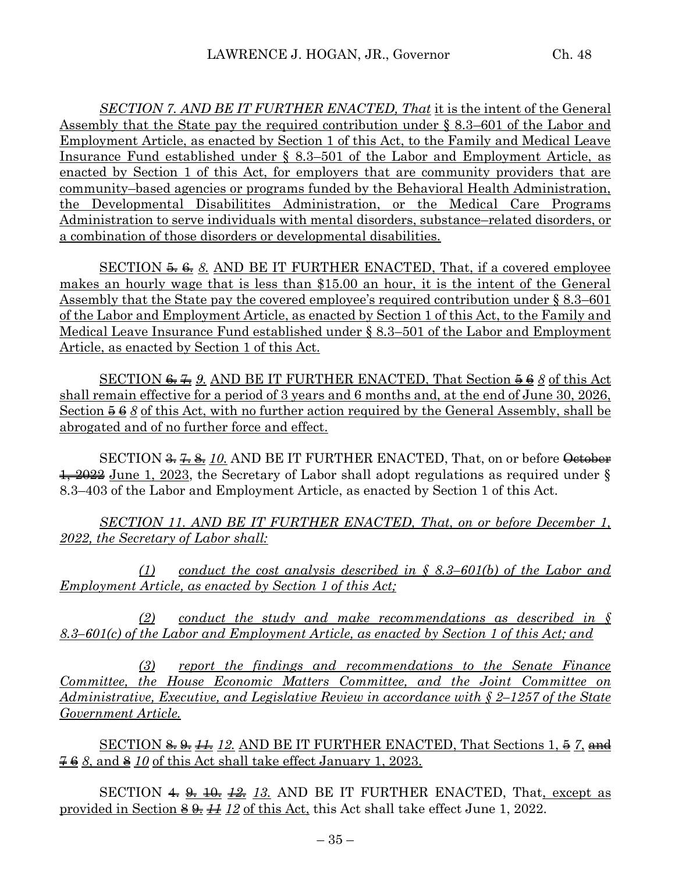*SECTION 7. AND BE IT FURTHER ENACTED, That* it is the intent of the General Assembly that the State pay the required contribution under § 8.3–601 of the Labor and Employment Article, as enacted by Section 1 of this Act, to the Family and Medical Leave Insurance Fund established under § 8.3–501 of the Labor and Employment Article, as enacted by Section 1 of this Act, for employers that are community providers that are community–based agencies or programs funded by the Behavioral Health Administration, the Developmental Disabilitites Administration, or the Medical Care Programs Administration to serve individuals with mental disorders, substance–related disorders, or a combination of those disorders or developmental disabilities.

SECTION  $\frac{5}{2}$ ,  $\frac{6}{2}$ ,  $\frac{8}{2}$ . AND BE IT FURTHER ENACTED, That, if a covered employee makes an hourly wage that is less than \$15.00 an hour, it is the intent of the General Assembly that the State pay the covered employee's required contribution under § 8.3–601 of the Labor and Employment Article, as enacted by Section 1 of this Act, to the Family and Medical Leave Insurance Fund established under § 8.3–501 of the Labor and Employment Article, as enacted by Section 1 of this Act.

SECTION  $\epsilon$ ,  $\epsilon$ ,  $\epsilon$ ,  $\epsilon$ , AND BE IT FURTHER ENACTED, That Section  $\epsilon$   $\epsilon$   $\epsilon$   $\delta$  of this Act shall remain effective for a period of 3 years and 6 months and, at the end of June 30, 2026, Section 5 6 *8* of this Act, with no further action required by the General Assembly, shall be abrogated and of no further force and effect.

SECTION  $\frac{2}{\sqrt{3}} \cdot \frac{4}{\sqrt{3}} \cdot \frac{4}{\sqrt{3}}$  AND BE IT FURTHER ENACTED, That, on or before October  $\frac{1}{2022}$  June 1, 2023, the Secretary of Labor shall adopt regulations as required under § 8.3–403 of the Labor and Employment Article, as enacted by Section 1 of this Act.

*SECTION 11. AND BE IT FURTHER ENACTED, That, on or before December 1, 2022, the Secretary of Labor shall:*

*(1) conduct the cost analysis described in § 8.3–601(b) of the Labor and Employment Article, as enacted by Section 1 of this Act;* 

*(2) conduct the study and make recommendations as described in § 8.3–601(c) of the Labor and Employment Article, as enacted by Section 1 of this Act; and*

*(3) report the findings and recommendations to the Senate Finance Committee, the House Economic Matters Committee, and the Joint Committee on Administrative, Executive, and Legislative Review in accordance with § 2–1257 of the State Government Article.*

SECTION <del>8. 9. 11.</del> 12. AND BE IT FURTHER ENACTED, That Sections 1, 5 7, and  $768$ , and  $810$  of this Act shall take effect January 1, 2023.

SECTION  $\triangleq \Theta$   $\triangleq \Theta$   $\triangleq \Theta$  *13.* AND BE IT FURTHER ENACTED, That, except as provided in Section 8 9. *11 12* of this Act, this Act shall take effect June 1, 2022.